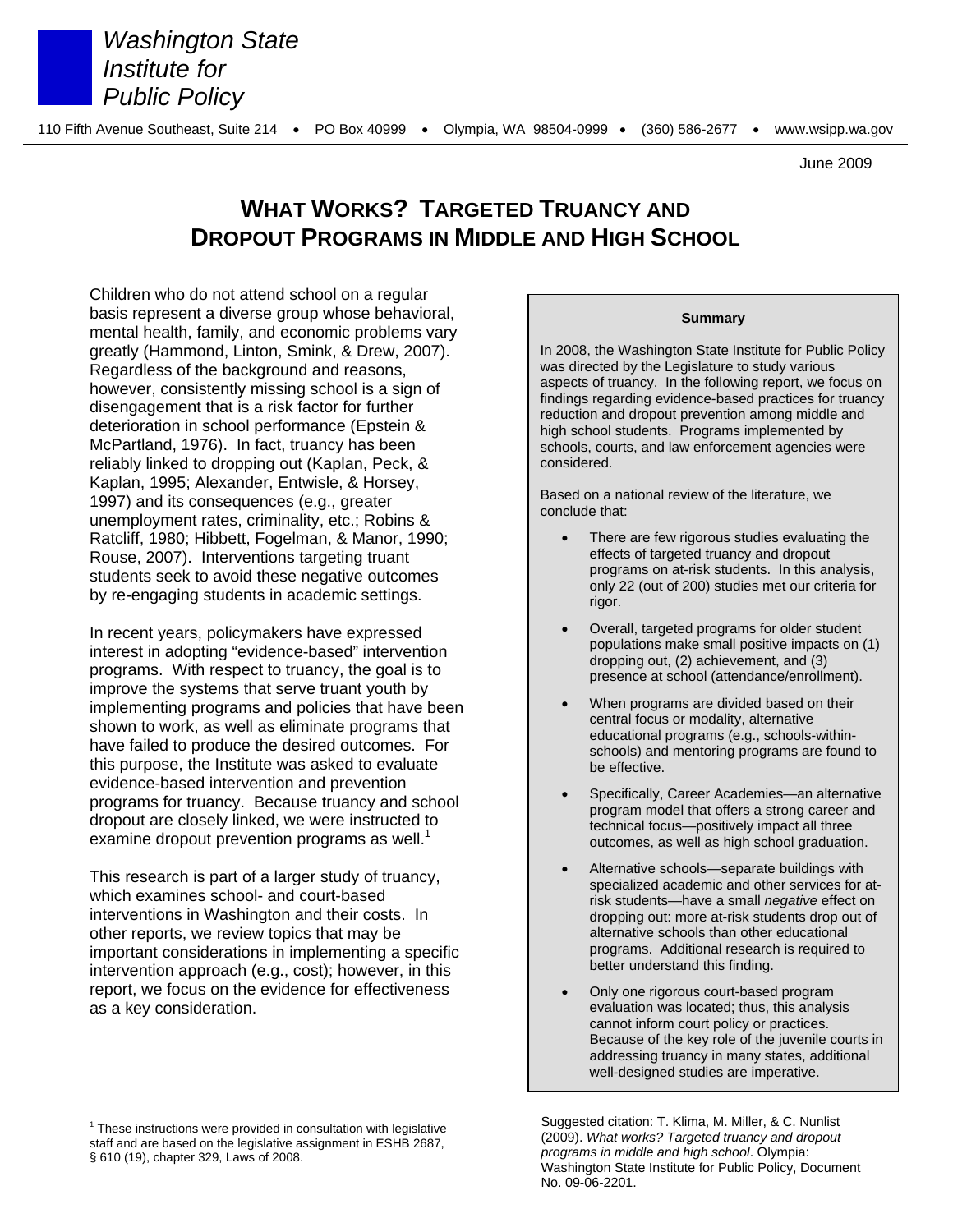

*Washington State Institute for Public Policy*

June 2009

# **WHAT WORKS? TARGETED TRUANCY AND DROPOUT PROGRAMS IN MIDDLE AND HIGH SCHOOL**

Children who do not attend school on a regular basis represent a diverse group whose behavioral, mental health, family, and economic problems vary greatly (Hammond, Linton, Smink, & Drew, 2007). Regardless of the background and reasons, however, consistently missing school is a sign of disengagement that is a risk factor for further deterioration in school performance (Epstein & McPartland, 1976). In fact, truancy has been reliably linked to dropping out (Kaplan, Peck, & Kaplan, 1995; Alexander, Entwisle, & Horsey, 1997) and its consequences (e.g., greater unemployment rates, criminality, etc.; Robins & Ratcliff, 1980; Hibbett, Fogelman, & Manor, 1990; Rouse, 2007). Interventions targeting truant students seek to avoid these negative outcomes by re-engaging students in academic settings.

In recent years, policymakers have expressed interest in adopting "evidence-based" intervention programs. With respect to truancy, the goal is to improve the systems that serve truant youth by implementing programs and policies that have been shown to work, as well as eliminate programs that have failed to produce the desired outcomes. For this purpose, the Institute was asked to evaluate evidence-based intervention and prevention programs for truancy. Because truancy and school dropout are closely linked, we were instructed to examine dropout prevention programs as well. $1$ 

This research is part of a larger study of truancy, which examines school- and court-based interventions in Washington and their costs. In other reports, we review topics that may be important considerations in implementing a specific intervention approach (e.g., cost); however, in this report, we focus on the evidence for effectiveness as a key consideration.

l

#### **Summary**

In 2008, the Washington State Institute for Public Policy was directed by the Legislature to study various aspects of truancy. In the following report, we focus on findings regarding evidence-based practices for truancy reduction and dropout prevention among middle and high school students. Programs implemented by schools, courts, and law enforcement agencies were considered.

Based on a national review of the literature, we conclude that:

- There are few rigorous studies evaluating the effects of targeted truancy and dropout programs on at-risk students. In this analysis, only 22 (out of 200) studies met our criteria for rigor.
- Overall, targeted programs for older student populations make small positive impacts on (1) dropping out, (2) achievement, and (3) presence at school (attendance/enrollment).
- When programs are divided based on their central focus or modality, alternative educational programs (e.g., schools-withinschools) and mentoring programs are found to be effective.
- Specifically, Career Academies—an alternative program model that offers a strong career and technical focus—positively impact all three outcomes, as well as high school graduation.
- Alternative schools—separate buildings with specialized academic and other services for atrisk students—have a small *negative* effect on dropping out: more at-risk students drop out of alternative schools than other educational programs. Additional research is required to better understand this finding.
- Only one rigorous court-based program evaluation was located; thus, this analysis cannot inform court policy or practices. Because of the key role of the juvenile courts in addressing truancy in many states, additional well-designed studies are imperative.

 $1$  These instructions were provided in consultation with legislative staff and are based on the legislative assignment in ESHB 2687, § 610 (19), chapter 329, Laws of 2008.

Suggested citation: T. Klima, M. Miller, & C. Nunlist (2009). *What works? Targeted truancy and dropout programs in middle and high school*. Olympia: Washington State Institute for Public Policy, Document No. 09-06-2201.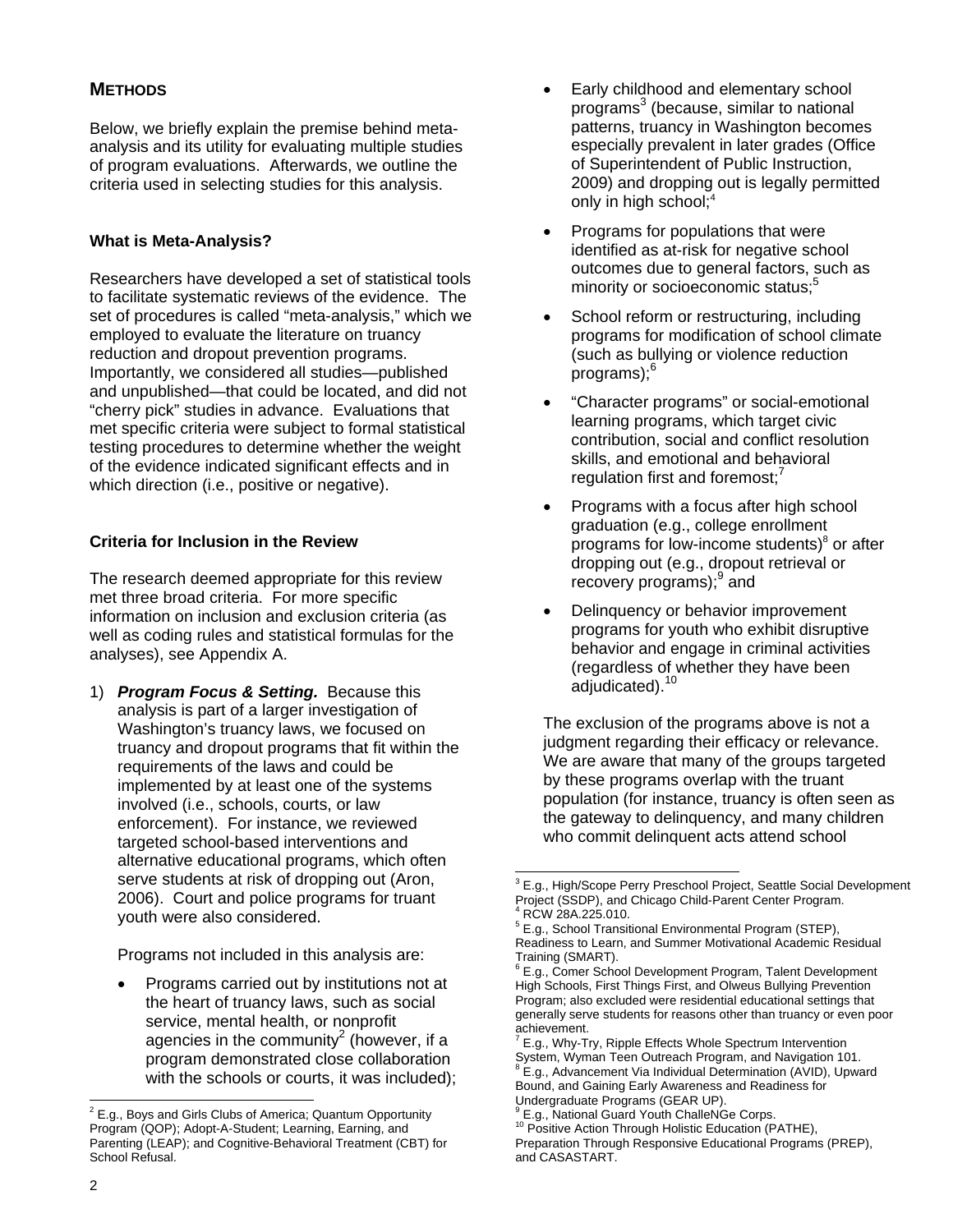# **METHODS**

Below, we briefly explain the premise behind metaanalysis and its utility for evaluating multiple studies of program evaluations. Afterwards, we outline the criteria used in selecting studies for this analysis.

# **What is Meta-Analysis?**

Researchers have developed a set of statistical tools to facilitate systematic reviews of the evidence. The set of procedures is called "meta-analysis," which we employed to evaluate the literature on truancy reduction and dropout prevention programs. Importantly, we considered all studies—published and unpublished—that could be located, and did not "cherry pick" studies in advance. Evaluations that met specific criteria were subject to formal statistical testing procedures to determine whether the weight of the evidence indicated significant effects and in which direction (i.e., positive or negative).

# **Criteria for Inclusion in the Review**

The research deemed appropriate for this review met three broad criteria. For more specific information on inclusion and exclusion criteria (as well as coding rules and statistical formulas for the analyses), see Appendix A.

1) *Program Focus & Setting.* Because this analysis is part of a larger investigation of Washington's truancy laws, we focused on truancy and dropout programs that fit within the requirements of the laws and could be implemented by at least one of the systems involved (i.e., schools, courts, or law enforcement). For instance, we reviewed targeted school-based interventions and alternative educational programs, which often serve students at risk of dropping out (Aron, 2006). Court and police programs for truant youth were also considered.

Programs not included in this analysis are:

 Programs carried out by institutions not at the heart of truancy laws, such as social service, mental health, or nonprofit agencies in the community<sup>2</sup> (however, if a program demonstrated close collaboration with the schools or courts, it was included);

- Early childhood and elementary school programs<sup>3</sup> (because, similar to national patterns, truancy in Washington becomes especially prevalent in later grades (Office of Superintendent of Public Instruction, 2009) and dropping out is legally permitted only in high school;<sup>4</sup>
- Programs for populations that were identified as at-risk for negative school outcomes due to general factors, such as minority or socioeconomic status;<sup>5</sup>
- School reform or restructuring, including programs for modification of school climate (such as bullying or violence reduction programs);<sup>6</sup>
- "Character programs" or social-emotional learning programs, which target civic contribution, social and conflict resolution skills, and emotional and behavioral regulation first and foremost;
- Programs with a focus after high school graduation (e.g., college enrollment programs for low-income students)<sup>8</sup> or after dropping out (e.g., dropout retrieval or recovery programs);<sup>9</sup> and
- Delinquency or behavior improvement programs for youth who exhibit disruptive behavior and engage in criminal activities (regardless of whether they have been adjudicated).<sup>10</sup>

The exclusion of the programs above is not a judgment regarding their efficacy or relevance. We are aware that many of the groups targeted by these programs overlap with the truant population (for instance, truancy is often seen as the gateway to delinquency, and many children who commit delinquent acts attend school

l

 $\overline{P^2}$  E.g., Boys and Girls Clubs of America; Quantum Opportunity Program (QOP); Adopt-A-Student; Learning, Earning, and Parenting (LEAP); and Cognitive-Behavioral Treatment (CBT) for School Refusal.

<sup>&</sup>lt;sup>3</sup> E.g., High/Scope Perry Preschool Project, Seattle Social Development Project (SSDP), and Chicago Child-Parent Center Program. 4 RCW 28A.225.010.

<sup>&</sup>lt;sup>5</sup> E.g., School Transitional Environmental Program (STEP), Readiness to Learn, and Summer Motivational Academic Residual Training (SMART).

<sup>6</sup> E.g., Comer School Development Program, Talent Development High Schools, First Things First, and Olweus Bullying Prevention Program; also excluded were residential educational settings that generally serve students for reasons other than truancy or even poor achievement.<br><sup>7</sup> E a Why Tr

E.g., Why-Try, Ripple Effects Whole Spectrum Intervention

System, Wyman Teen Outreach Program, and Navigation 101. <sup>8</sup> E.g., Advancement Via Individual Determination (AVID), Upward Bound, and Gaining Early Awareness and Readiness for

Undergraduate Programs (GEAR UP). 9

E.g., National Guard Youth ChalleNGe Corps. <sup>10</sup> Positive Action Through Holistic Education (PATHE),

Preparation Through Responsive Educational Programs (PREP), and CASASTART.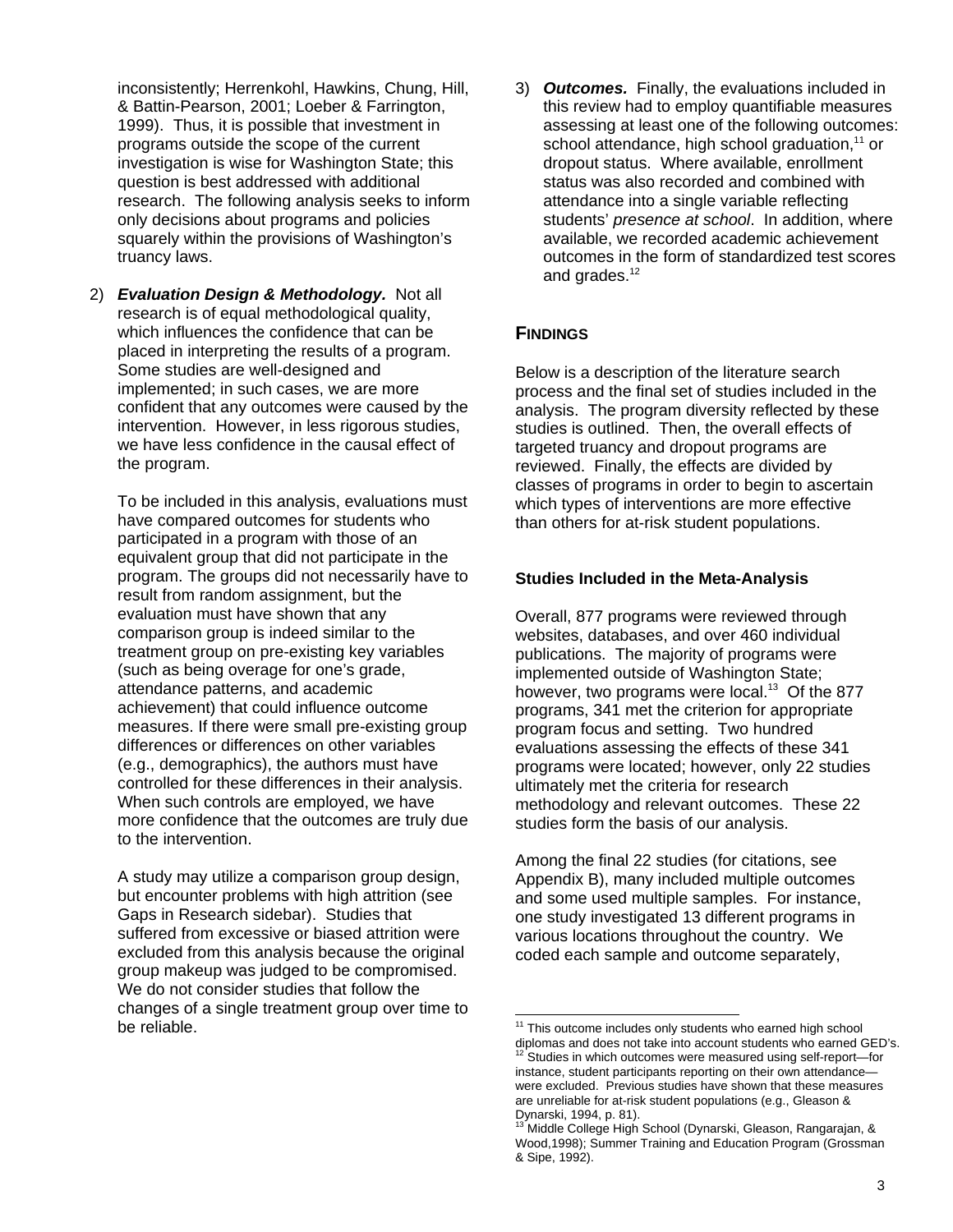inconsistently; Herrenkohl, Hawkins, Chung, Hill, & Battin-Pearson, 2001; Loeber & Farrington, 1999). Thus, it is possible that investment in programs outside the scope of the current investigation is wise for Washington State; this question is best addressed with additional research. The following analysis seeks to inform only decisions about programs and policies squarely within the provisions of Washington's truancy laws.

2) *Evaluation Design & Methodology.* Not all research is of equal methodological quality, which influences the confidence that can be placed in interpreting the results of a program. Some studies are well-designed and implemented; in such cases, we are more confident that any outcomes were caused by the intervention. However, in less rigorous studies, we have less confidence in the causal effect of the program.

To be included in this analysis, evaluations must have compared outcomes for students who participated in a program with those of an equivalent group that did not participate in the program. The groups did not necessarily have to result from random assignment, but the evaluation must have shown that any comparison group is indeed similar to the treatment group on pre-existing key variables (such as being overage for one's grade, attendance patterns, and academic achievement) that could influence outcome measures. If there were small pre-existing group differences or differences on other variables (e.g., demographics), the authors must have controlled for these differences in their analysis. When such controls are employed, we have more confidence that the outcomes are truly due to the intervention.

A study may utilize a comparison group design, but encounter problems with high attrition (see Gaps in Research sidebar). Studies that suffered from excessive or biased attrition were excluded from this analysis because the original group makeup was judged to be compromised. We do not consider studies that follow the changes of a single treatment group over time to be reliable.

3) *Outcomes.* Finally, the evaluations included in this review had to employ quantifiable measures assessing at least one of the following outcomes: school attendance, high school graduation, $11$  or dropout status. Where available, enrollment status was also recorded and combined with attendance into a single variable reflecting students' *presence at school*. In addition, where available, we recorded academic achievement outcomes in the form of standardized test scores and grades.<sup>12</sup>

# **FINDINGS**

l

Below is a description of the literature search process and the final set of studies included in the analysis. The program diversity reflected by these studies is outlined. Then, the overall effects of targeted truancy and dropout programs are reviewed. Finally, the effects are divided by classes of programs in order to begin to ascertain which types of interventions are more effective than others for at-risk student populations.

### **Studies Included in the Meta-Analysis**

Overall, 877 programs were reviewed through websites, databases, and over 460 individual publications. The majority of programs were implemented outside of Washington State; however, two programs were local.<sup>13</sup> Of the 877 programs, 341 met the criterion for appropriate program focus and setting. Two hundred evaluations assessing the effects of these 341 programs were located; however, only 22 studies ultimately met the criteria for research methodology and relevant outcomes. These 22 studies form the basis of our analysis.

Among the final 22 studies (for citations, see Appendix B), many included multiple outcomes and some used multiple samples. For instance, one study investigated 13 different programs in various locations throughout the country. We coded each sample and outcome separately,

This outcome includes only students who earned high school diplomas and does not take into account students who earned GED's.<br><sup>12</sup> Studies in which outcomes were measured using self-report, for Studies in which outcomes were measured using self-report-for instance, student participants reporting on their own attendance were excluded. Previous studies have shown that these measures are unreliable for at-risk student populations (e.g., Gleason &

Dynarski, 1994, p. 81).<br><sup>13</sup> Middle College High School (Dynarski, Gleason, Rangarajan, & Wood,1998); Summer Training and Education Program (Grossman & Sipe, 1992).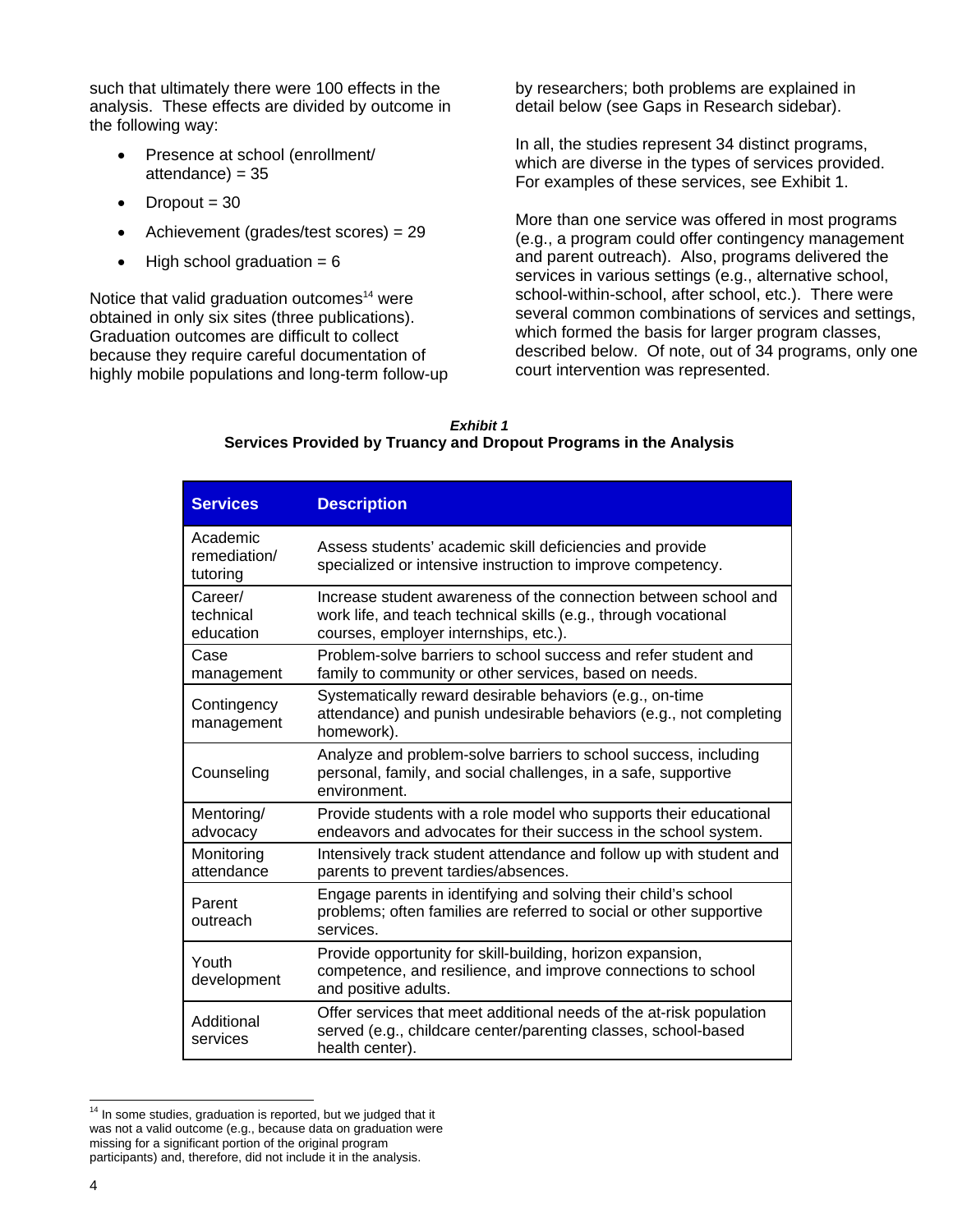such that ultimately there were 100 effects in the analysis. These effects are divided by outcome in the following way:

- Presence at school (enrollment/  $attendance) = 35$
- $\bullet$  Dropout = 30
- Achievement (grades/test scores) = 29
- $\bullet$  High school graduation = 6

Notice that valid graduation outcomes<sup>14</sup> were obtained in only six sites (three publications). Graduation outcomes are difficult to collect because they require careful documentation of highly mobile populations and long-term follow-up by researchers; both problems are explained in detail below (see Gaps in Research sidebar).

In all, the studies represent 34 distinct programs, which are diverse in the types of services provided. For examples of these services, see Exhibit 1.

More than one service was offered in most programs (e.g., a program could offer contingency management and parent outreach). Also, programs delivered the services in various settings (e.g., alternative school, school-within-school, after school, etc.). There were several common combinations of services and settings, which formed the basis for larger program classes, described below. Of note, out of 34 programs, only one court intervention was represented.

| Exhibit 1                                                         |  |  |  |  |  |  |  |  |
|-------------------------------------------------------------------|--|--|--|--|--|--|--|--|
| Services Provided by Truancy and Dropout Programs in the Analysis |  |  |  |  |  |  |  |  |

| <b>Services</b>                      | <b>Description</b>                                                                                                                                                          |
|--------------------------------------|-----------------------------------------------------------------------------------------------------------------------------------------------------------------------------|
| Academic<br>remediation/<br>tutoring | Assess students' academic skill deficiencies and provide<br>specialized or intensive instruction to improve competency.                                                     |
| Career/<br>technical<br>education    | Increase student awareness of the connection between school and<br>work life, and teach technical skills (e.g., through vocational<br>courses, employer internships, etc.). |
| Case<br>management                   | Problem-solve barriers to school success and refer student and<br>family to community or other services, based on needs.                                                    |
| Contingency<br>management            | Systematically reward desirable behaviors (e.g., on-time<br>attendance) and punish undesirable behaviors (e.g., not completing<br>homework).                                |
| Counseling                           | Analyze and problem-solve barriers to school success, including<br>personal, family, and social challenges, in a safe, supportive<br>environment.                           |
| Mentoring/<br>advocacy               | Provide students with a role model who supports their educational<br>endeavors and advocates for their success in the school system.                                        |
| Monitoring<br>attendance             | Intensively track student attendance and follow up with student and<br>parents to prevent tardies/absences.                                                                 |
| Parent<br>outreach                   | Engage parents in identifying and solving their child's school<br>problems; often families are referred to social or other supportive<br>services.                          |
| Youth<br>development                 | Provide opportunity for skill-building, horizon expansion,<br>competence, and resilience, and improve connections to school<br>and positive adults.                         |
| Additional<br>services               | Offer services that meet additional needs of the at-risk population<br>served (e.g., childcare center/parenting classes, school-based<br>health center).                    |

l  $14$  In some studies, graduation is reported, but we judged that it was not a valid outcome (e.g., because data on graduation were missing for a significant portion of the original program participants) and, therefore, did not include it in the analysis.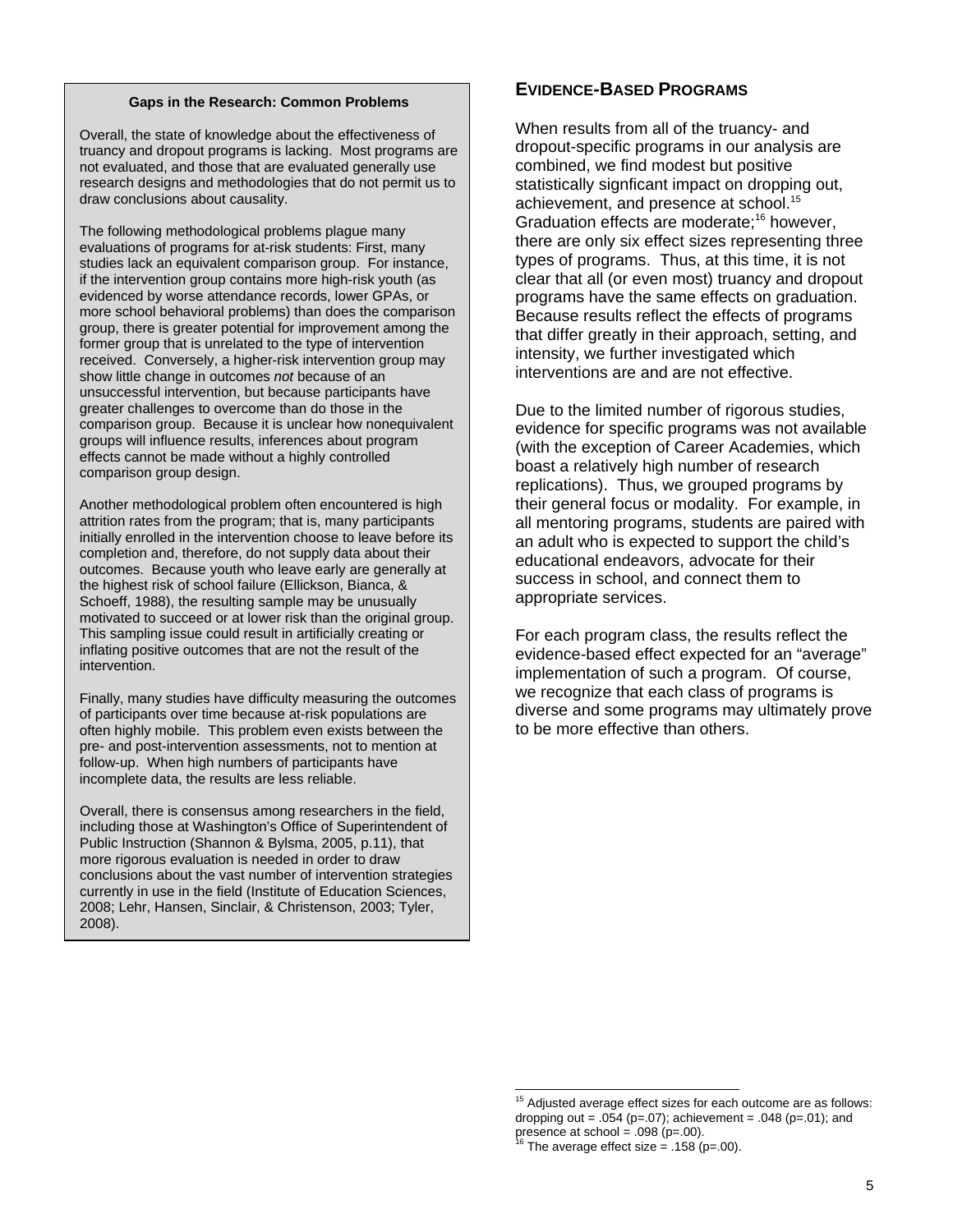#### **Gaps in the Research: Common Problems**

Overall, the state of knowledge about the effectiveness of truancy and dropout programs is lacking. Most programs are not evaluated, and those that are evaluated generally use research designs and methodologies that do not permit us to draw conclusions about causality.

The following methodological problems plague many evaluations of programs for at-risk students: First, many studies lack an equivalent comparison group. For instance, if the intervention group contains more high-risk youth (as evidenced by worse attendance records, lower GPAs, or more school behavioral problems) than does the comparison group, there is greater potential for improvement among the former group that is unrelated to the type of intervention received. Conversely, a higher-risk intervention group may show little change in outcomes *not* because of an unsuccessful intervention, but because participants have greater challenges to overcome than do those in the comparison group. Because it is unclear how nonequivalent groups will influence results, inferences about program effects cannot be made without a highly controlled comparison group design.

Another methodological problem often encountered is high attrition rates from the program; that is, many participants initially enrolled in the intervention choose to leave before its completion and, therefore, do not supply data about their outcomes. Because youth who leave early are generally at the highest risk of school failure (Ellickson, Bianca, & Schoeff, 1988), the resulting sample may be unusually motivated to succeed or at lower risk than the original group. This sampling issue could result in artificially creating or inflating positive outcomes that are not the result of the intervention.

Finally, many studies have difficulty measuring the outcomes of participants over time because at-risk populations are often highly mobile. This problem even exists between the pre- and post-intervention assessments, not to mention at follow-up. When high numbers of participants have incomplete data, the results are less reliable.

Overall, there is consensus among researchers in the field, including those at Washington's Office of Superintendent of Public Instruction (Shannon & Bylsma, 2005, p.11), that more rigorous evaluation is needed in order to draw conclusions about the vast number of intervention strategies currently in use in the field (Institute of Education Sciences, 2008; Lehr, Hansen, Sinclair, & Christenson, 2003; Tyler, 2008).

# **EVIDENCE-BASED PROGRAMS**

When results from all of the truancy- and dropout-specific programs in our analysis are combined, we find modest but positive statistically signficant impact on dropping out, achievement, and presence at school.<sup>15</sup> Graduation effects are moderate;<sup>16</sup> however, there are only six effect sizes representing three types of programs. Thus, at this time, it is not clear that all (or even most) truancy and dropout programs have the same effects on graduation. Because results reflect the effects of programs that differ greatly in their approach, setting, and intensity, we further investigated which interventions are and are not effective.

Due to the limited number of rigorous studies, evidence for specific programs was not available (with the exception of Career Academies, which boast a relatively high number of research replications). Thus, we grouped programs by their general focus or modality. For example, in all mentoring programs, students are paired with an adult who is expected to support the child's educational endeavors, advocate for their success in school, and connect them to appropriate services.

For each program class, the results reflect the evidence-based effect expected for an "average" implementation of such a program. Of course, we recognize that each class of programs is diverse and some programs may ultimately prove to be more effective than others.

l

 $15$  Adjusted average effect sizes for each outcome are as follows: dropping out =  $.054$  (p=.07); achievement =  $.048$  (p=.01); and

presence at school = .098 (p=.00).<br><sup>16</sup> The average effect size = .158 (p=.00).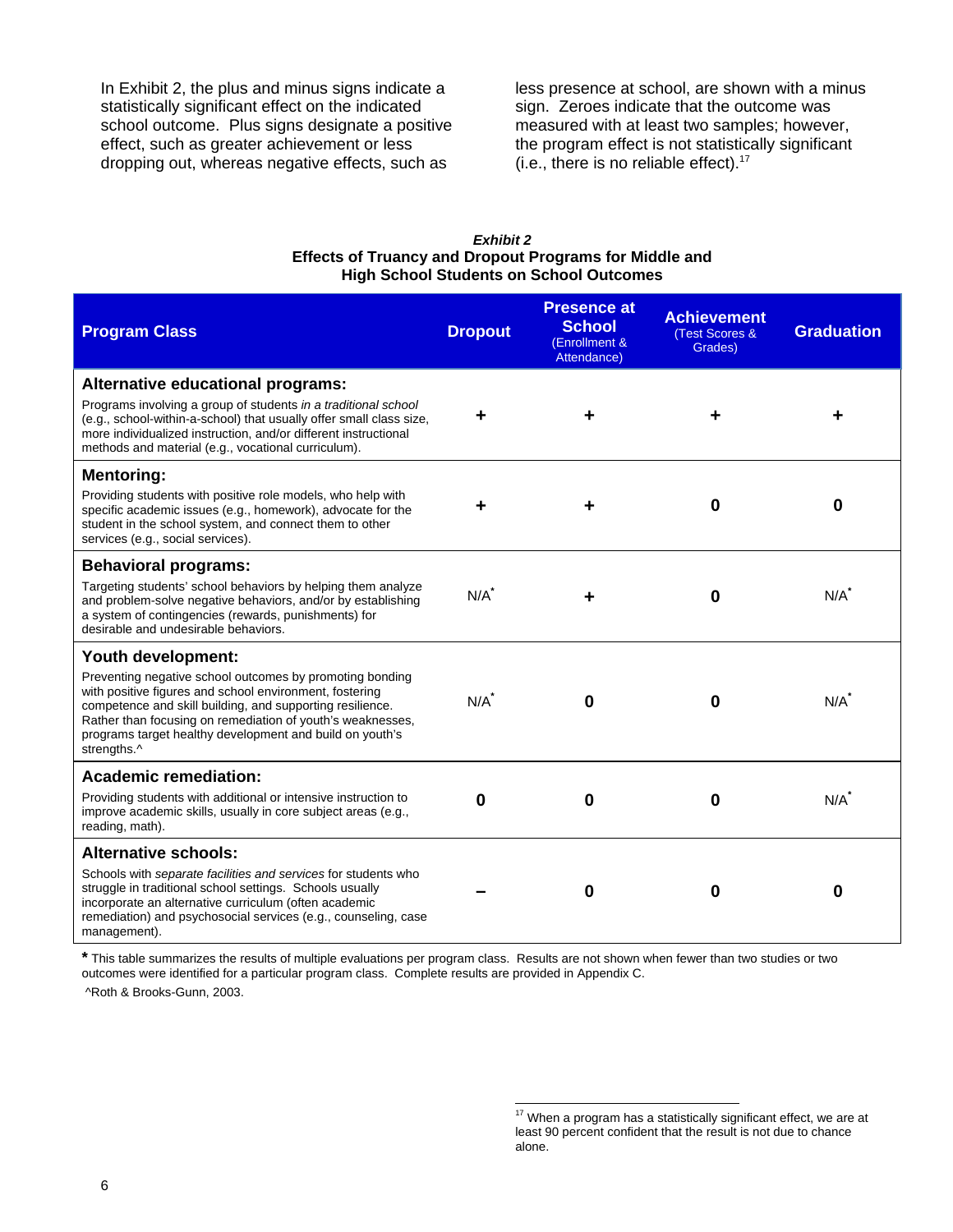In Exhibit 2, the plus and minus signs indicate a statistically significant effect on the indicated school outcome. Plus signs designate a positive effect, such as greater achievement or less dropping out, whereas negative effects, such as

less presence at school, are shown with a minus sign. Zeroes indicate that the outcome was measured with at least two samples; however, the program effect is not statistically significant (i.e., there is no reliable effect).17

#### *Exhibit 2*  **Effects of Truancy and Dropout Programs for Middle and High School Students on School Outcomes**

| <b>Program Class</b>                                                                                                                                                                                                                                                                                                      | <b>Dropout</b>     | <b>Presence at</b><br><b>School</b><br>(Enrollment &<br>Attendance) | <b>Achievement</b><br>(Test Scores &<br>Grades) | <b>Graduation</b> |
|---------------------------------------------------------------------------------------------------------------------------------------------------------------------------------------------------------------------------------------------------------------------------------------------------------------------------|--------------------|---------------------------------------------------------------------|-------------------------------------------------|-------------------|
| <b>Alternative educational programs:</b>                                                                                                                                                                                                                                                                                  |                    |                                                                     |                                                 |                   |
| Programs involving a group of students in a traditional school<br>(e.g., school-within-a-school) that usually offer small class size,<br>more individualized instruction, and/or different instructional<br>methods and material (e.g., vocational curriculum).                                                           |                    |                                                                     |                                                 |                   |
| <b>Mentoring:</b>                                                                                                                                                                                                                                                                                                         |                    |                                                                     |                                                 |                   |
| Providing students with positive role models, who help with<br>specific academic issues (e.g., homework), advocate for the<br>student in the school system, and connect them to other<br>services (e.g., social services).                                                                                                |                    |                                                                     | $\bf{0}$                                        | 0                 |
| <b>Behavioral programs:</b>                                                                                                                                                                                                                                                                                               |                    |                                                                     |                                                 |                   |
| Targeting students' school behaviors by helping them analyze<br>and problem-solve negative behaviors, and/or by establishing<br>a system of contingencies (rewards, punishments) for<br>desirable and undesirable behaviors.                                                                                              | $N/A$ <sup>*</sup> |                                                                     | $\bf{0}$                                        | N/A               |
| Youth development:                                                                                                                                                                                                                                                                                                        |                    |                                                                     |                                                 |                   |
| Preventing negative school outcomes by promoting bonding<br>with positive figures and school environment, fostering<br>competence and skill building, and supporting resilience.<br>Rather than focusing on remediation of youth's weaknesses,<br>programs target healthy development and build on youth's<br>strengths.^ | N/A                | 0                                                                   | U                                               | N/A               |
| <b>Academic remediation:</b>                                                                                                                                                                                                                                                                                              |                    |                                                                     |                                                 |                   |
| Providing students with additional or intensive instruction to<br>improve academic skills, usually in core subject areas (e.g.,<br>reading, math).                                                                                                                                                                        | $\mathbf 0$        | 0                                                                   | $\bf{0}$                                        | N/A               |
| <b>Alternative schools:</b>                                                                                                                                                                                                                                                                                               |                    |                                                                     |                                                 |                   |
| Schools with separate facilities and services for students who<br>struggle in traditional school settings. Schools usually<br>incorporate an alternative curriculum (often academic<br>remediation) and psychosocial services (e.g., counseling, case<br>management).                                                     |                    | 0                                                                   | $\bf{0}$                                        | 0                 |

**\*** This table summarizes the results of multiple evaluations per program class. Results are not shown when fewer than two studies or two outcomes were identified for a particular program class. Complete results are provided in Appendix C.

l

^Roth & Brooks-Gunn, 2003.

 $17$  When a program has a statistically significant effect, we are at least 90 percent confident that the result is not due to chance alone.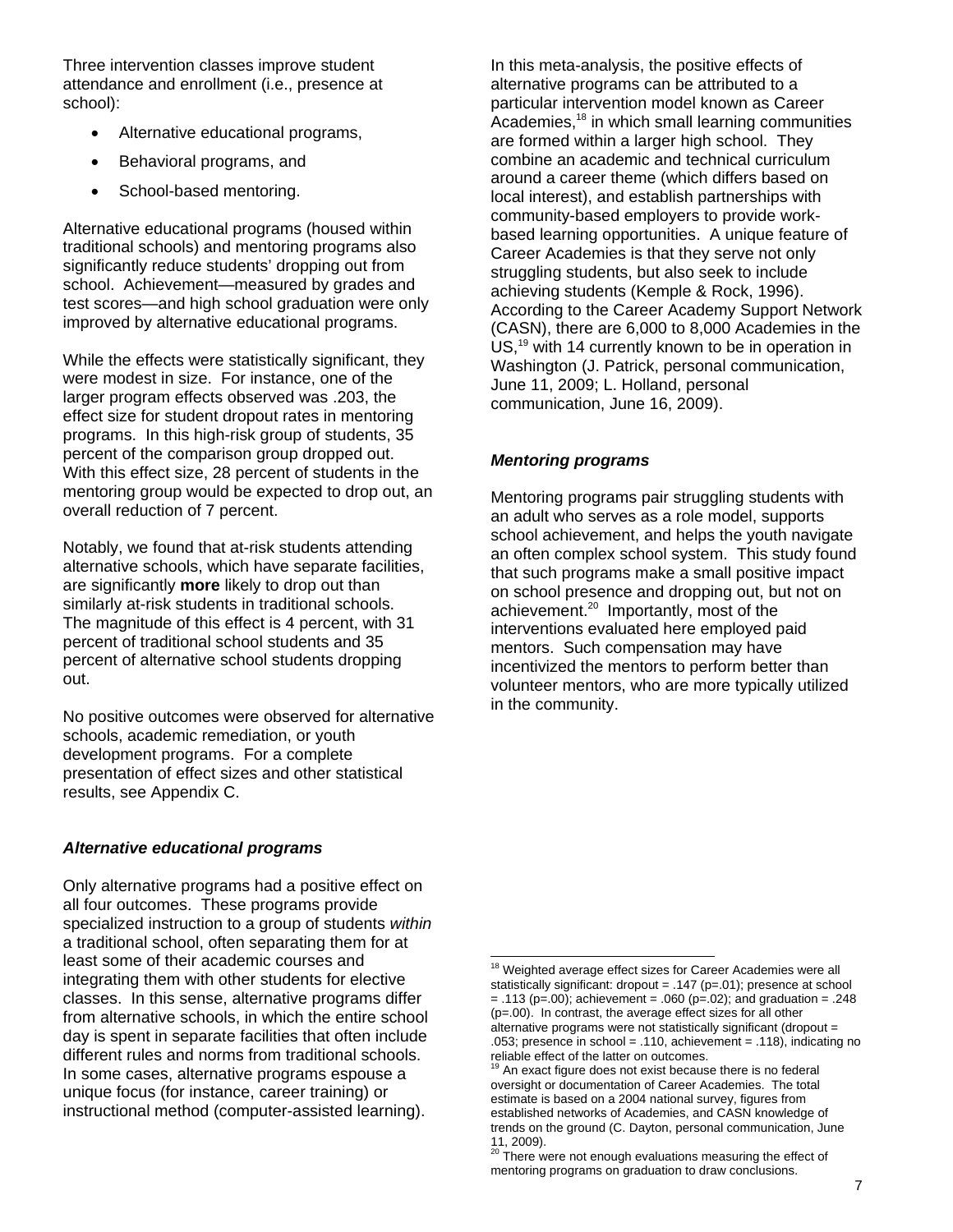Three intervention classes improve student attendance and enrollment (i.e., presence at school):

- Alternative educational programs,
- Behavioral programs, and
- School-based mentoring.

Alternative educational programs (housed within traditional schools) and mentoring programs also significantly reduce students' dropping out from school. Achievement—measured by grades and test scores—and high school graduation were only improved by alternative educational programs.

While the effects were statistically significant, they were modest in size. For instance, one of the larger program effects observed was .203, the effect size for student dropout rates in mentoring programs. In this high-risk group of students, 35 percent of the comparison group dropped out. With this effect size, 28 percent of students in the mentoring group would be expected to drop out, an overall reduction of 7 percent.

Notably, we found that at-risk students attending alternative schools, which have separate facilities, are significantly **more** likely to drop out than similarly at-risk students in traditional schools. The magnitude of this effect is 4 percent, with 31 percent of traditional school students and 35 percent of alternative school students dropping out.

No positive outcomes were observed for alternative schools, academic remediation, or youth development programs. For a complete presentation of effect sizes and other statistical results, see Appendix C.

### *Alternative educational programs*

Only alternative programs had a positive effect on all four outcomes. These programs provide specialized instruction to a group of students *within* a traditional school, often separating them for at least some of their academic courses and integrating them with other students for elective classes. In this sense, alternative programs differ from alternative schools, in which the entire school day is spent in separate facilities that often include different rules and norms from traditional schools. In some cases, alternative programs espouse a unique focus (for instance, career training) or instructional method (computer-assisted learning).

In this meta-analysis, the positive effects of alternative programs can be attributed to a particular intervention model known as Career Academies,18 in which small learning communities are formed within a larger high school. They combine an academic and technical curriculum around a career theme (which differs based on local interest), and establish partnerships with community-based employers to provide workbased learning opportunities. A unique feature of Career Academies is that they serve not only struggling students, but also seek to include achieving students (Kemple & Rock, 1996). According to the Career Academy Support Network (CASN), there are 6,000 to 8,000 Academies in the US,<sup>19</sup> with 14 currently known to be in operation in Washington (J. Patrick, personal communication, June 11, 2009; L. Holland, personal communication, June 16, 2009).

### *Mentoring programs*

Mentoring programs pair struggling students with an adult who serves as a role model, supports school achievement, and helps the youth navigate an often complex school system. This study found that such programs make a small positive impact on school presence and dropping out, but not on achievement.20 Importantly, most of the interventions evaluated here employed paid mentors. Such compensation may have incentivized the mentors to perform better than volunteer mentors, who are more typically utilized in the community.

l  $18$  Weighted average effect sizes for Career Academies were all statistically significant: dropout = .147 (p=.01); presence at school  $= .113$  (p=.00); achievement = .060 (p=.02); and graduation = .248 (p=.00). In contrast, the average effect sizes for all other alternative programs were not statistically significant (dropout = .053; presence in school = .110, achievement = .118), indicating no reliable effect of the latter on outcomes.

 $19$  An exact figure does not exist because there is no federal oversight or documentation of Career Academies. The total estimate is based on a 2004 national survey, figures from established networks of Academies, and CASN knowledge of trends on the ground (C. Dayton, personal communication, June 11, 2009).

<sup>&</sup>lt;sup>20</sup> There were not enough evaluations measuring the effect of mentoring programs on graduation to draw conclusions.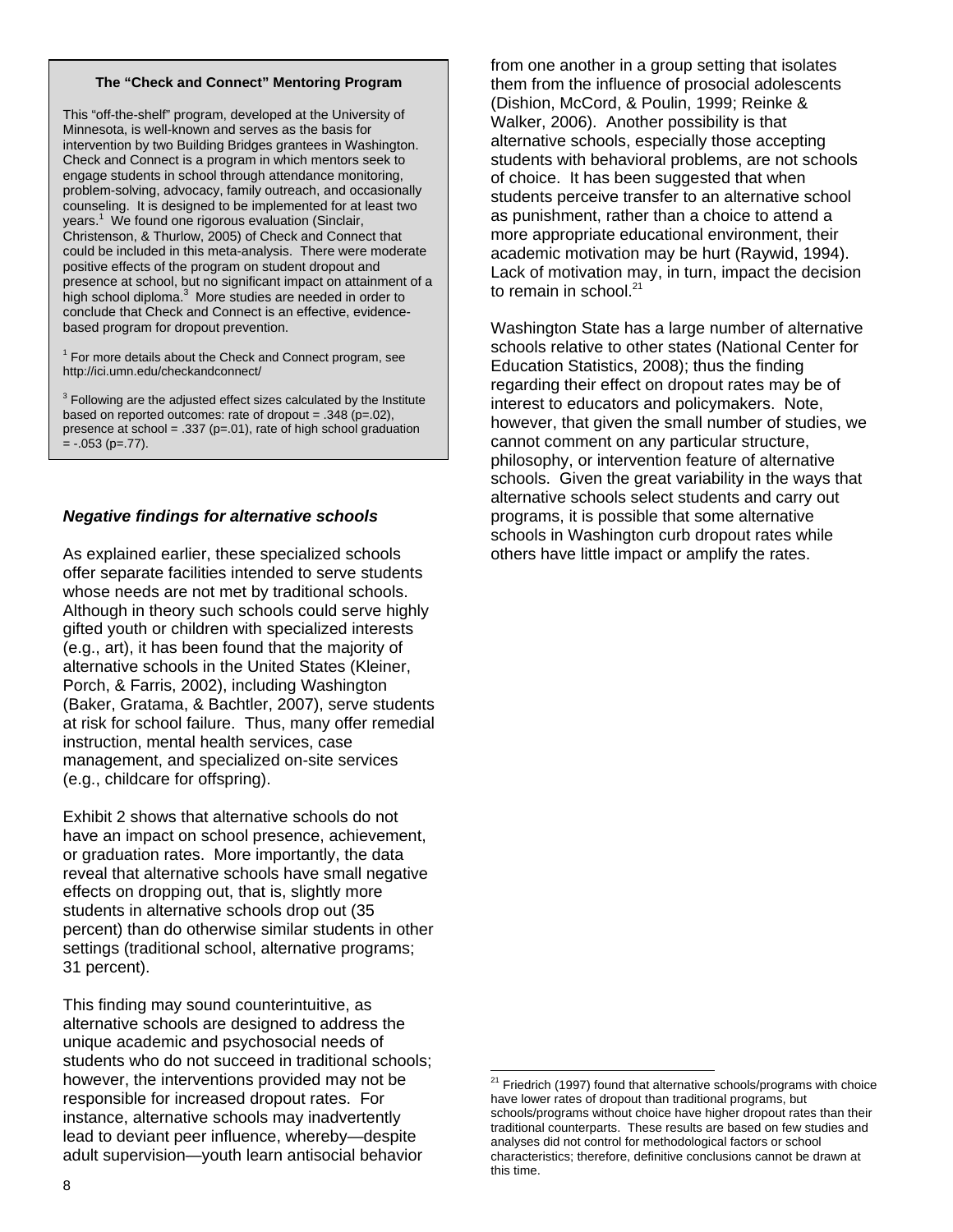#### **The "Check and Connect" Mentoring Program**

This "off-the-shelf" program, developed at the University of Minnesota, is well-known and serves as the basis for intervention by two Building Bridges grantees in Washington. Check and Connect is a program in which mentors seek to engage students in school through attendance monitoring, problem-solving, advocacy, family outreach, and occasionally counseling. It is designed to be implemented for at least two years.<sup>1</sup> We found one rigorous evaluation (Sinclair, Christenson, & Thurlow, 2005) of Check and Connect that could be included in this meta-analysis. There were moderate positive effects of the program on student dropout and presence at school, but no significant impact on attainment of a high school diploma.<sup>3</sup> More studies are needed in order to conclude that Check and Connect is an effective, evidencebased program for dropout prevention.

 $1$  For more details about the Check and Connect program, see http://ici.umn.edu/checkandconnect/

 $3$  Following are the adjusted effect sizes calculated by the Institute based on reported outcomes: rate of dropout =  $.348$  (p= $.02$ ), presence at school = .337 ( $p=01$ ), rate of high school graduation  $= -.053$  (p=.77).

### *Negative findings for alternative schools*

As explained earlier, these specialized schools offer separate facilities intended to serve students whose needs are not met by traditional schools. Although in theory such schools could serve highly gifted youth or children with specialized interests (e.g., art), it has been found that the majority of alternative schools in the United States (Kleiner, Porch, & Farris, 2002), including Washington (Baker, Gratama, & Bachtler, 2007), serve students at risk for school failure. Thus, many offer remedial instruction, mental health services, case management, and specialized on-site services (e.g., childcare for offspring).

Exhibit 2 shows that alternative schools do not have an impact on school presence, achievement, or graduation rates. More importantly, the data reveal that alternative schools have small negative effects on dropping out, that is, slightly more students in alternative schools drop out (35 percent) than do otherwise similar students in other settings (traditional school, alternative programs; 31 percent).

This finding may sound counterintuitive, as alternative schools are designed to address the unique academic and psychosocial needs of students who do not succeed in traditional schools; however, the interventions provided may not be responsible for increased dropout rates. For instance, alternative schools may inadvertently lead to deviant peer influence, whereby—despite adult supervision—youth learn antisocial behavior

from one another in a group setting that isolates them from the influence of prosocial adolescents (Dishion, McCord, & Poulin, 1999; Reinke & Walker, 2006). Another possibility is that alternative schools, especially those accepting students with behavioral problems, are not schools of choice. It has been suggested that when students perceive transfer to an alternative school as punishment, rather than a choice to attend a more appropriate educational environment, their academic motivation may be hurt (Raywid, 1994). Lack of motivation may, in turn, impact the decision to remain in school.<sup>21</sup>

Washington State has a large number of alternative schools relative to other states (National Center for Education Statistics, 2008); thus the finding regarding their effect on dropout rates may be of interest to educators and policymakers. Note, however, that given the small number of studies, we cannot comment on any particular structure, philosophy, or intervention feature of alternative schools. Given the great variability in the ways that alternative schools select students and carry out programs, it is possible that some alternative schools in Washington curb dropout rates while others have little impact or amplify the rates.

l  $21$  Friedrich (1997) found that alternative schools/programs with choice have lower rates of dropout than traditional programs, but schools/programs without choice have higher dropout rates than their traditional counterparts. These results are based on few studies and analyses did not control for methodological factors or school characteristics; therefore, definitive conclusions cannot be drawn at this time.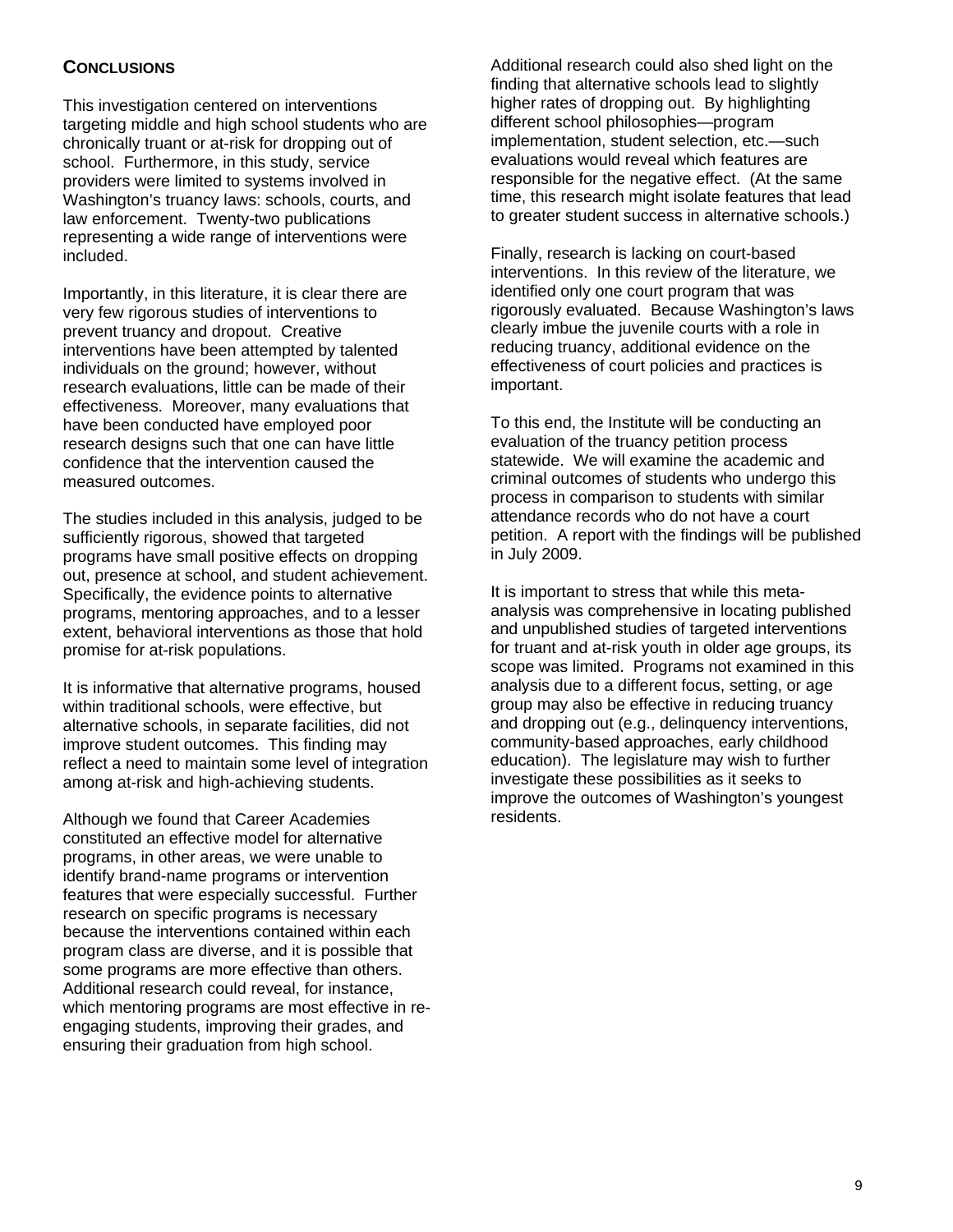# **CONCLUSIONS**

This investigation centered on interventions targeting middle and high school students who are chronically truant or at-risk for dropping out of school. Furthermore, in this study, service providers were limited to systems involved in Washington's truancy laws: schools, courts, and law enforcement. Twenty-two publications representing a wide range of interventions were included.

Importantly, in this literature, it is clear there are very few rigorous studies of interventions to prevent truancy and dropout. Creative interventions have been attempted by talented individuals on the ground; however, without research evaluations, little can be made of their effectiveness. Moreover, many evaluations that have been conducted have employed poor research designs such that one can have little confidence that the intervention caused the measured outcomes.

The studies included in this analysis, judged to be sufficiently rigorous, showed that targeted programs have small positive effects on dropping out, presence at school, and student achievement. Specifically, the evidence points to alternative programs, mentoring approaches, and to a lesser extent, behavioral interventions as those that hold promise for at-risk populations.

It is informative that alternative programs, housed within traditional schools, were effective, but alternative schools, in separate facilities, did not improve student outcomes. This finding may reflect a need to maintain some level of integration among at-risk and high-achieving students.

Although we found that Career Academies constituted an effective model for alternative programs, in other areas, we were unable to identify brand-name programs or intervention features that were especially successful. Further research on specific programs is necessary because the interventions contained within each program class are diverse, and it is possible that some programs are more effective than others. Additional research could reveal, for instance, which mentoring programs are most effective in reengaging students, improving their grades, and ensuring their graduation from high school.

Additional research could also shed light on the finding that alternative schools lead to slightly higher rates of dropping out. By highlighting different school philosophies—program implementation, student selection, etc.—such evaluations would reveal which features are responsible for the negative effect. (At the same time, this research might isolate features that lead to greater student success in alternative schools.)

Finally, research is lacking on court-based interventions. In this review of the literature, we identified only one court program that was rigorously evaluated. Because Washington's laws clearly imbue the juvenile courts with a role in reducing truancy, additional evidence on the effectiveness of court policies and practices is important.

To this end, the Institute will be conducting an evaluation of the truancy petition process statewide. We will examine the academic and criminal outcomes of students who undergo this process in comparison to students with similar attendance records who do not have a court petition. A report with the findings will be published in July 2009.

It is important to stress that while this metaanalysis was comprehensive in locating published and unpublished studies of targeted interventions for truant and at-risk youth in older age groups, its scope was limited. Programs not examined in this analysis due to a different focus, setting, or age group may also be effective in reducing truancy and dropping out (e.g., delinquency interventions, community-based approaches, early childhood education). The legislature may wish to further investigate these possibilities as it seeks to improve the outcomes of Washington's youngest residents.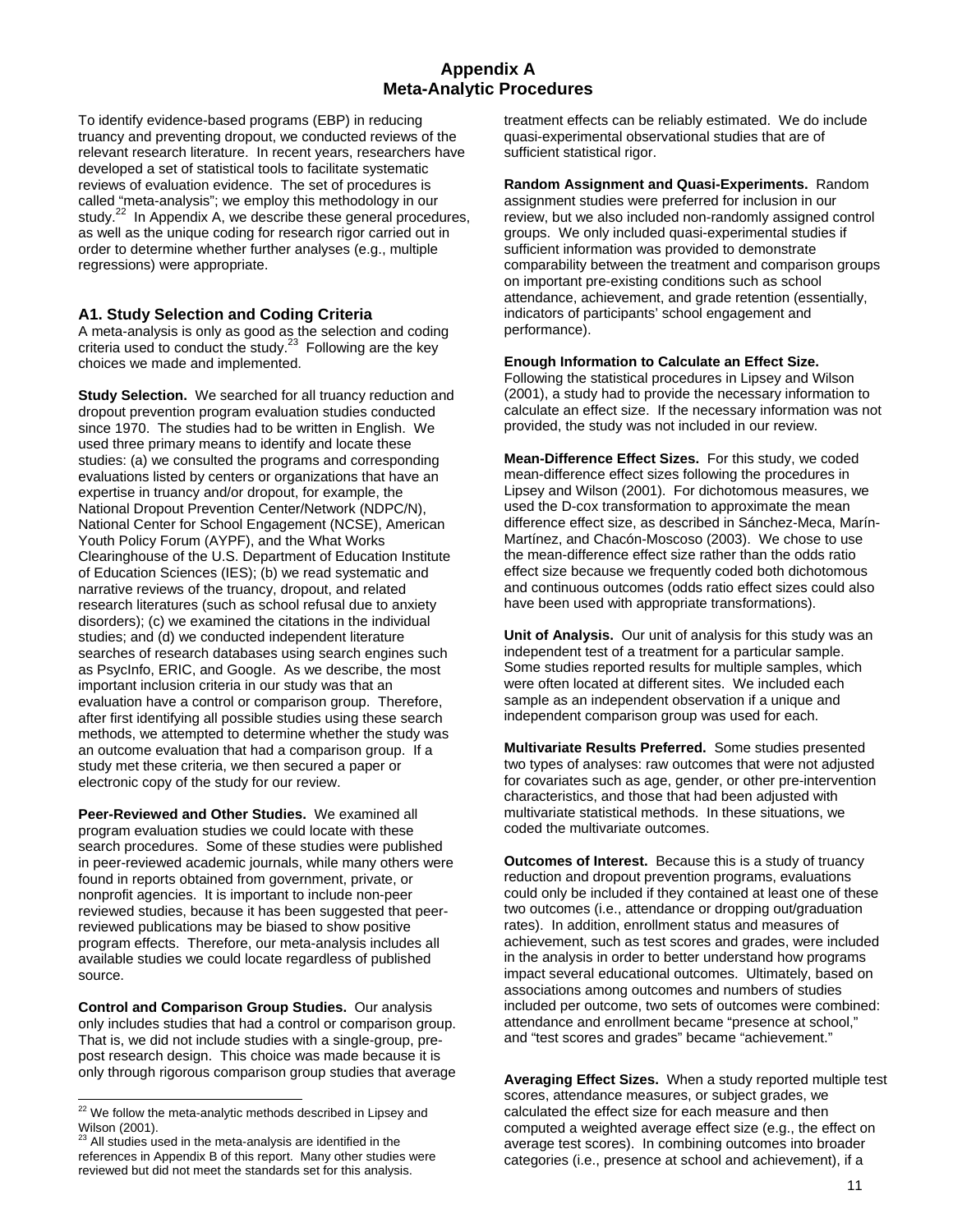### **Appendix A Meta-Analytic Procedures**

To identify evidence-based programs (EBP) in reducing truancy and preventing dropout, we conducted reviews of the relevant research literature. In recent years, researchers have developed a set of statistical tools to facilitate systematic reviews of evaluation evidence. The set of procedures is called "meta-analysis"; we employ this methodology in our study.<sup>22</sup> In Appendix A, we describe these general procedures, as well as the unique coding for research rigor carried out in order to determine whether further analyses (e.g., multiple regressions) were appropriate.

#### **A1. Study Selection and Coding Criteria**

A meta-analysis is only as good as the selection and coding criteria used to conduct the study.<sup>23</sup> Following are the key choices we made and implemented.

**Study Selection.** We searched for all truancy reduction and dropout prevention program evaluation studies conducted since 1970. The studies had to be written in English. We used three primary means to identify and locate these studies: (a) we consulted the programs and corresponding evaluations listed by centers or organizations that have an expertise in truancy and/or dropout, for example, the National Dropout Prevention Center/Network (NDPC/N), National Center for School Engagement (NCSE), American Youth Policy Forum (AYPF), and the What Works Clearinghouse of the U.S. Department of Education Institute of Education Sciences (IES); (b) we read systematic and narrative reviews of the truancy, dropout, and related research literatures (such as school refusal due to anxiety disorders); (c) we examined the citations in the individual studies; and (d) we conducted independent literature searches of research databases using search engines such as PsycInfo, ERIC, and Google. As we describe, the most important inclusion criteria in our study was that an evaluation have a control or comparison group. Therefore, after first identifying all possible studies using these search methods, we attempted to determine whether the study was an outcome evaluation that had a comparison group. If a study met these criteria, we then secured a paper or electronic copy of the study for our review.

**Peer-Reviewed and Other Studies.** We examined all program evaluation studies we could locate with these search procedures. Some of these studies were published in peer-reviewed academic journals, while many others were found in reports obtained from government, private, or nonprofit agencies. It is important to include non-peer reviewed studies, because it has been suggested that peerreviewed publications may be biased to show positive program effects. Therefore, our meta-analysis includes all available studies we could locate regardless of published source.

**Control and Comparison Group Studies.** Our analysis only includes studies that had a control or comparison group. That is, we did not include studies with a single-group, prepost research design. This choice was made because it is only through rigorous comparison group studies that average

l

treatment effects can be reliably estimated. We do include quasi-experimental observational studies that are of sufficient statistical rigor.

**Random Assignment and Quasi-Experiments.** Random assignment studies were preferred for inclusion in our review, but we also included non-randomly assigned control groups. We only included quasi-experimental studies if sufficient information was provided to demonstrate comparability between the treatment and comparison groups on important pre-existing conditions such as school attendance, achievement, and grade retention (essentially, indicators of participants' school engagement and performance).

#### **Enough Information to Calculate an Effect Size.**

Following the statistical procedures in Lipsey and Wilson (2001), a study had to provide the necessary information to calculate an effect size. If the necessary information was not provided, the study was not included in our review.

**Mean-Difference Effect Sizes.** For this study, we coded mean-difference effect sizes following the procedures in Lipsey and Wilson (2001). For dichotomous measures, we used the D-cox transformation to approximate the mean difference effect size, as described in Sánchez-Meca, Marín-Martínez, and Chacón-Moscoso (2003). We chose to use the mean-difference effect size rather than the odds ratio effect size because we frequently coded both dichotomous and continuous outcomes (odds ratio effect sizes could also have been used with appropriate transformations).

**Unit of Analysis.** Our unit of analysis for this study was an independent test of a treatment for a particular sample. Some studies reported results for multiple samples, which were often located at different sites. We included each sample as an independent observation if a unique and independent comparison group was used for each.

**Multivariate Results Preferred.** Some studies presented two types of analyses: raw outcomes that were not adjusted for covariates such as age, gender, or other pre-intervention characteristics, and those that had been adjusted with multivariate statistical methods. In these situations, we coded the multivariate outcomes.

**Outcomes of Interest.** Because this is a study of truancy reduction and dropout prevention programs, evaluations could only be included if they contained at least one of these two outcomes (i.e., attendance or dropping out/graduation rates). In addition, enrollment status and measures of achievement, such as test scores and grades, were included in the analysis in order to better understand how programs impact several educational outcomes. Ultimately, based on associations among outcomes and numbers of studies included per outcome, two sets of outcomes were combined: attendance and enrollment became "presence at school," and "test scores and grades" became "achievement."

**Averaging Effect Sizes.** When a study reported multiple test scores, attendance measures, or subject grades, we calculated the effect size for each measure and then computed a weighted average effect size (e.g., the effect on average test scores). In combining outcomes into broader categories (i.e., presence at school and achievement), if a

 $22$  We follow the meta-analytic methods described in Lipsey and  $\frac{1}{2}$  we follow the Wilson (2001).

All studies used in the meta-analysis are identified in the references in Appendix B of this report. Many other studies were reviewed but did not meet the standards set for this analysis.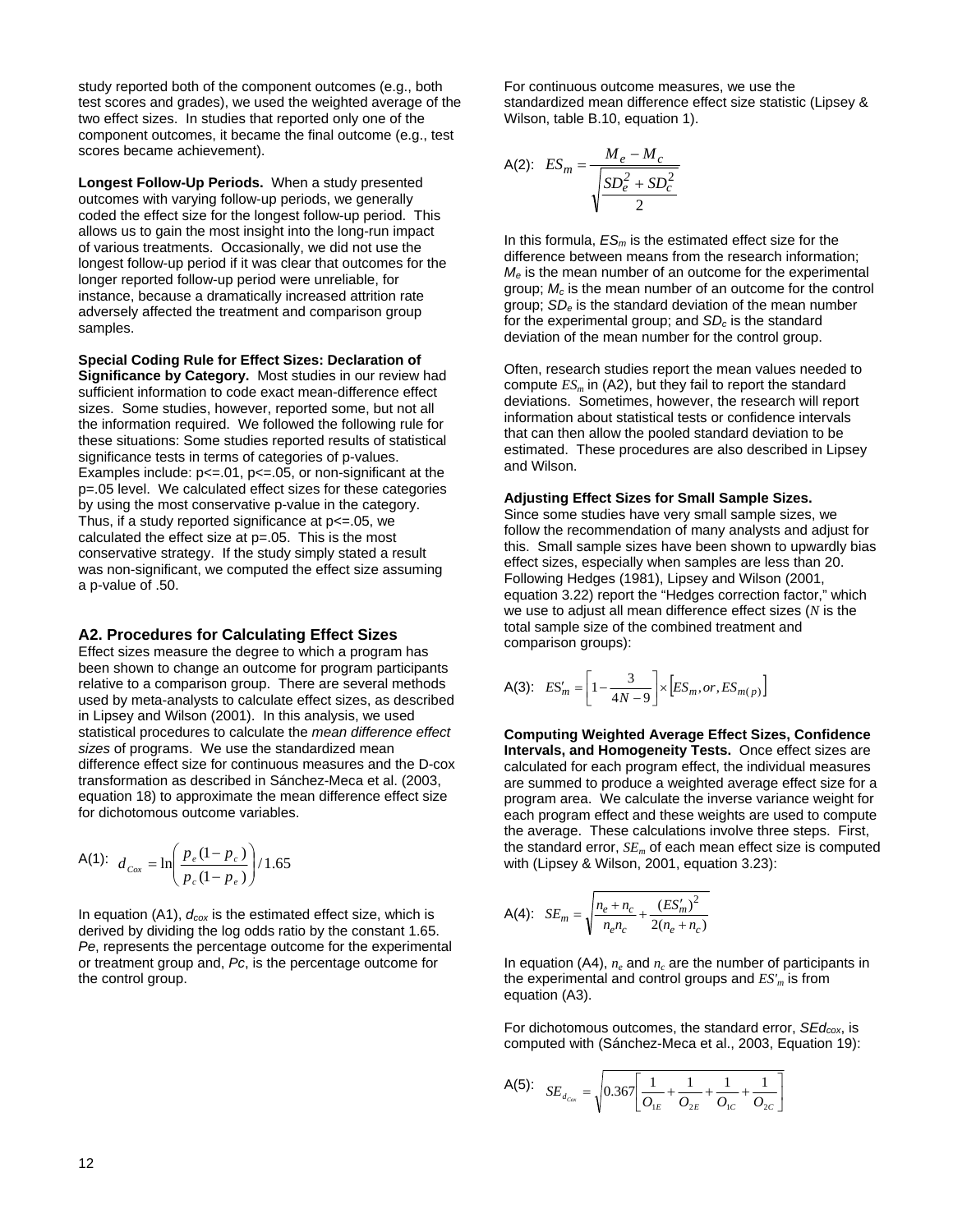study reported both of the component outcomes (e.g., both test scores and grades), we used the weighted average of the two effect sizes. In studies that reported only one of the component outcomes, it became the final outcome (e.g., test scores became achievement).

**Longest Follow-Up Periods.** When a study presented outcomes with varying follow-up periods, we generally coded the effect size for the longest follow-up period. This allows us to gain the most insight into the long-run impact of various treatments. Occasionally, we did not use the longest follow-up period if it was clear that outcomes for the longer reported follow-up period were unreliable, for instance, because a dramatically increased attrition rate adversely affected the treatment and comparison group samples.

**Special Coding Rule for Effect Sizes: Declaration of Significance by Category.** Most studies in our review had sufficient information to code exact mean-difference effect sizes. Some studies, however, reported some, but not all the information required. We followed the following rule for these situations: Some studies reported results of statistical significance tests in terms of categories of p-values. Examples include:  $p \le 0.01$ ,  $p \le 0.05$ , or non-significant at the p=.05 level. We calculated effect sizes for these categories by using the most conservative p-value in the category. Thus, if a study reported significance at  $p \le 0.05$ , we calculated the effect size at p=.05. This is the most conservative strategy. If the study simply stated a result was non-significant, we computed the effect size assuming a p-value of .50.

#### **A2. Procedures for Calculating Effect Sizes**

Effect sizes measure the degree to which a program has been shown to change an outcome for program participants relative to a comparison group. There are several methods used by meta-analysts to calculate effect sizes, as described in Lipsey and Wilson (2001). In this analysis, we used statistical procedures to calculate the *mean difference effect sizes* of programs. We use the standardized mean difference effect size for continuous measures and the D-cox transformation as described in Sánchez-Meca et al. (2003, equation 18) to approximate the mean difference effect size for dichotomous outcome variables.

A(1): 
$$
d_{Cox} = \ln\left(\frac{p_e (1 - p_c)}{p_c (1 - p_e)}\right) / 1.65
$$

In equation (A1),  $d_{\text{cox}}$  is the estimated effect size, which is derived by dividing the log odds ratio by the constant 1.65. *Pe*, represents the percentage outcome for the experimental or treatment group and, *Pc*, is the percentage outcome for the control group.

For continuous outcome measures, we use the standardized mean difference effect size statistic (Lipsey & Wilson, table B.10, equation 1).

A(2): 
$$
ES_m = \frac{M_e - M_c}{\sqrt{\frac{SD_e^2 + SD_c^2}{2}}}
$$

In this formula, *ESm* is the estimated effect size for the difference between means from the research information; *Me* is the mean number of an outcome for the experimental group; *Mc* is the mean number of an outcome for the control group; *SDe* is the standard deviation of the mean number for the experimental group; and *SDc* is the standard deviation of the mean number for the control group.

Often, research studies report the mean values needed to compute  $ES_m$  in (A2), but they fail to report the standard deviations. Sometimes, however, the research will report information about statistical tests or confidence intervals that can then allow the pooled standard deviation to be estimated. These procedures are also described in Lipsey and Wilson.

#### **Adjusting Effect Sizes for Small Sample Sizes.**

Since some studies have very small sample sizes, we follow the recommendation of many analysts and adjust for this. Small sample sizes have been shown to upwardly bias effect sizes, especially when samples are less than 20. Following Hedges (1981), Lipsey and Wilson (2001, equation 3.22) report the "Hedges correction factor," which we use to adjust all mean difference effect sizes (*N* is the total sample size of the combined treatment and comparison groups):

A(3): 
$$
ES'_m = \left[1 - \frac{3}{4N - 9}\right] \times \left[ES_m, or, ES_{m(p)}\right]
$$

**Computing Weighted Average Effect Sizes, Confidence Intervals, and Homogeneity Tests.** Once effect sizes are calculated for each program effect, the individual measures are summed to produce a weighted average effect size for a program area. We calculate the inverse variance weight for each program effect and these weights are used to compute the average. These calculations involve three steps. First, the standard error,  $SE_m$  of each mean effect size is computed with (Lipsey & Wilson, 2001, equation 3.23):

A(4): 
$$
SE_m = \sqrt{\frac{n_e + n_c}{n_e n_c} + \frac{(ES'_m)^2}{2(n_e + n_c)}}
$$

In equation (A4),  $n_e$  and  $n_c$  are the number of participants in the experimental and control groups and  $ES'_m$  is from equation (A3).

For dichotomous outcomes, the standard error, *SEdcox*, is computed with (Sánchez-Meca et al., 2003, Equation 19):

A(5): 
$$
SE_{d_{\text{cav}}} = \sqrt{0.367 \left[ \frac{1}{O_{\text{LE}}} + \frac{1}{O_{\text{2E}}} + \frac{1}{O_{\text{1C}}} + \frac{1}{O_{\text{2C}}} \right]}
$$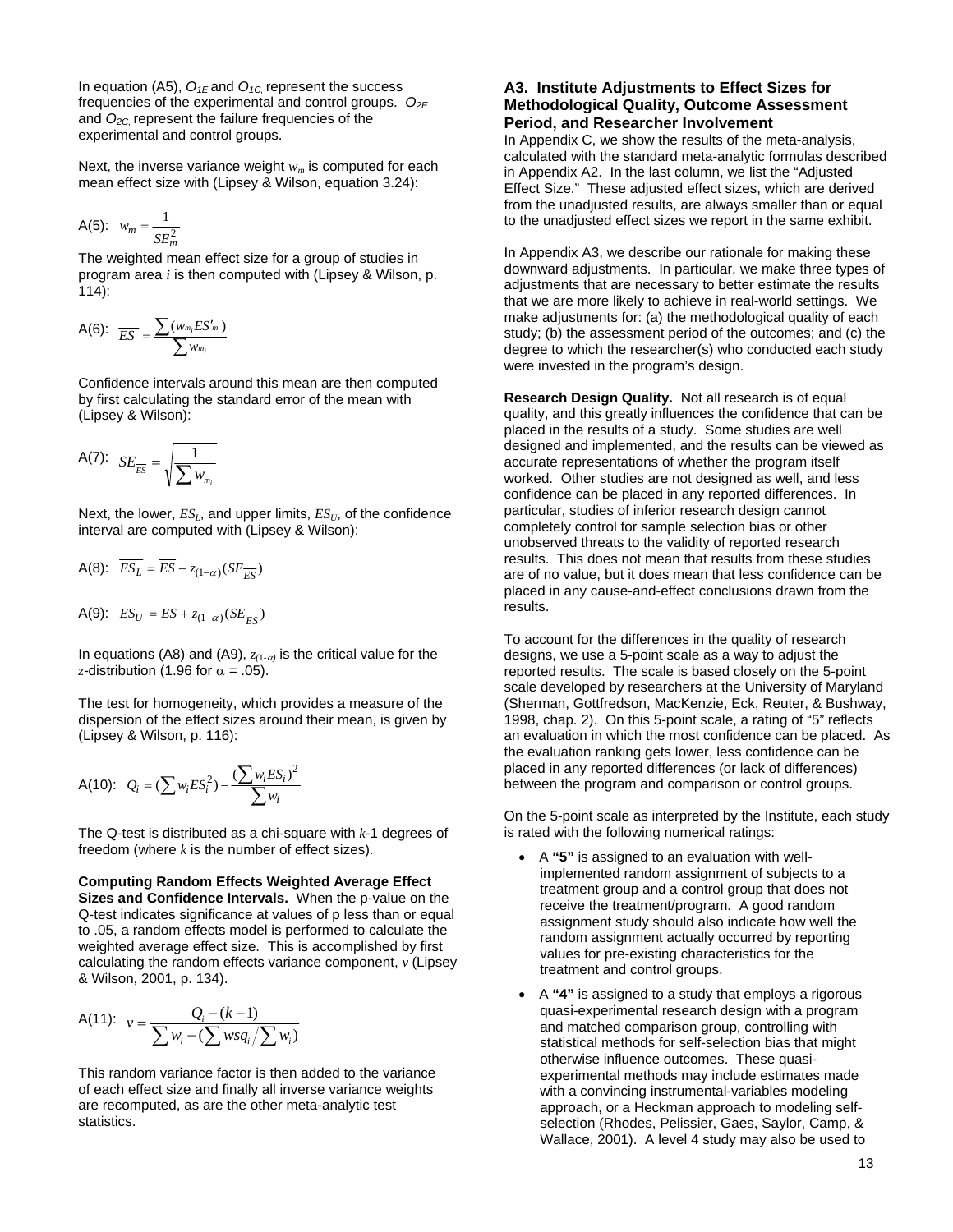In equation (A5),  $O_{1E}$  and  $O_{1C}$ , represent the success frequencies of the experimental and control groups.  $O_{2E}$ and *O2C,* represent the failure frequencies of the experimental and control groups.

Next, the inverse variance weight  $w_m$  is computed for each mean effect size with (Lipsey & Wilson, equation 3.24):

$$
A(5): w_m = \frac{1}{SE_m^2}
$$

The weighted mean effect size for a group of studies in program area *i* is then computed with (Lipsey & Wilson, p. 114):

A(6): 
$$
\overline{ES} = \frac{\sum (w_{m_i}ES'_{m_i})}{\sum w_{m_i}}
$$

Confidence intervals around this mean are then computed by first calculating the standard error of the mean with (Lipsey & Wilson):

$$
A(7): SE_{\overline{ES}} = \sqrt{\frac{1}{\sum w_{m_i}}}
$$

Next, the lower,  $ES<sub>L</sub>$ , and upper limits,  $ES<sub>U</sub>$ , of the confidence interval are computed with (Lipsey & Wilson):

$$
A(8): \overline{ES_L} = \overline{ES} - z_{(1-\alpha)}(SE_{\overline{ES}})
$$

$$
A(9): \overline{ES_U} = \overline{ES} + z_{(1-\alpha)}(SE_{\overline{ES}})
$$

In equations (A8) and (A9),  $z_{(1-\alpha)}$  is the critical value for the *z*-distribution (1.96 for  $\alpha$  = .05).

The test for homogeneity, which provides a measure of the dispersion of the effect sizes around their mean, is given by (Lipsey & Wilson, p. 116):

A(10): 
$$
Q_i = (\sum w_i ES_i^2) - \frac{(\sum w_i ES_i)^2}{\sum w_i}
$$

The Q-test is distributed as a chi-square with *k*-1 degrees of freedom (where *k* is the number of effect sizes).

#### **Computing Random Effects Weighted Average Effect**

**Sizes and Confidence Intervals.** When the p-value on the Q-test indicates significance at values of p less than or equal to .05, a random effects model is performed to calculate the weighted average effect size. This is accomplished by first calculating the random effects variance component, *v* (Lipsey & Wilson, 2001, p. 134).

A(11): 
$$
v = \frac{Q_i - (k-1)}{\sum w_i - (\sum wsq_i/\sum w_i)}
$$

This random variance factor is then added to the variance of each effect size and finally all inverse variance weights are recomputed, as are the other meta-analytic test statistics.

#### **A3. Institute Adjustments to Effect Sizes for Methodological Quality, Outcome Assessment Period, and Researcher Involvement**

In Appendix C, we show the results of the meta-analysis, calculated with the standard meta-analytic formulas described in Appendix A2. In the last column, we list the "Adjusted Effect Size." These adjusted effect sizes, which are derived from the unadjusted results, are always smaller than or equal to the unadjusted effect sizes we report in the same exhibit.

In Appendix A3, we describe our rationale for making these downward adjustments. In particular, we make three types of adjustments that are necessary to better estimate the results that we are more likely to achieve in real-world settings. We make adjustments for: (a) the methodological quality of each study; (b) the assessment period of the outcomes; and (c) the degree to which the researcher(s) who conducted each study were invested in the program's design.

**Research Design Quality.** Not all research is of equal quality, and this greatly influences the confidence that can be placed in the results of a study. Some studies are well designed and implemented, and the results can be viewed as accurate representations of whether the program itself worked. Other studies are not designed as well, and less confidence can be placed in any reported differences. In particular, studies of inferior research design cannot completely control for sample selection bias or other unobserved threats to the validity of reported research results. This does not mean that results from these studies are of no value, but it does mean that less confidence can be placed in any cause-and-effect conclusions drawn from the results.

To account for the differences in the quality of research designs, we use a 5-point scale as a way to adjust the reported results. The scale is based closely on the 5-point scale developed by researchers at the University of Maryland (Sherman, Gottfredson, MacKenzie, Eck, Reuter, & Bushway, 1998, chap. 2). On this 5-point scale, a rating of "5" reflects an evaluation in which the most confidence can be placed. As the evaluation ranking gets lower, less confidence can be placed in any reported differences (or lack of differences) between the program and comparison or control groups.

On the 5-point scale as interpreted by the Institute, each study is rated with the following numerical ratings:

- A **"5"** is assigned to an evaluation with wellimplemented random assignment of subjects to a treatment group and a control group that does not receive the treatment/program. A good random assignment study should also indicate how well the random assignment actually occurred by reporting values for pre-existing characteristics for the treatment and control groups.
- A **"4"** is assigned to a study that employs a rigorous quasi-experimental research design with a program and matched comparison group, controlling with statistical methods for self-selection bias that might otherwise influence outcomes. These quasiexperimental methods may include estimates made with a convincing instrumental-variables modeling approach, or a Heckman approach to modeling selfselection (Rhodes, Pelissier, Gaes, Saylor, Camp, & Wallace, 2001). A level 4 study may also be used to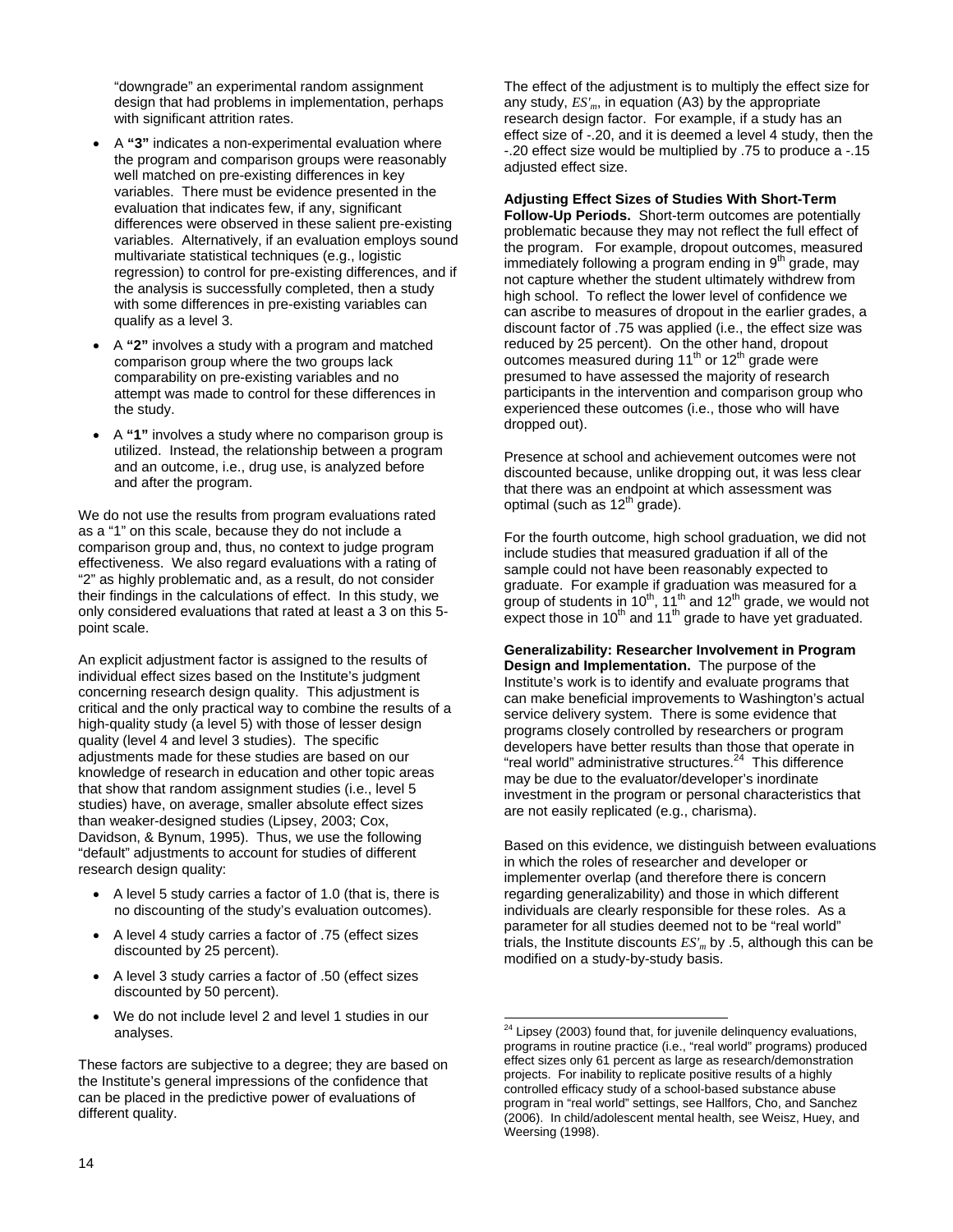"downgrade" an experimental random assignment design that had problems in implementation, perhaps with significant attrition rates.

- A **"3"** indicates a non-experimental evaluation where the program and comparison groups were reasonably well matched on pre-existing differences in key variables. There must be evidence presented in the evaluation that indicates few, if any, significant differences were observed in these salient pre-existing variables. Alternatively, if an evaluation employs sound multivariate statistical techniques (e.g., logistic regression) to control for pre-existing differences, and if the analysis is successfully completed, then a study with some differences in pre-existing variables can qualify as a level 3.
- A **"2"** involves a study with a program and matched comparison group where the two groups lack comparability on pre-existing variables and no attempt was made to control for these differences in the study.
- A **"1"** involves a study where no comparison group is utilized. Instead, the relationship between a program and an outcome, i.e., drug use, is analyzed before and after the program.

We do not use the results from program evaluations rated as a "1" on this scale, because they do not include a comparison group and, thus, no context to judge program effectiveness. We also regard evaluations with a rating of "2" as highly problematic and, as a result, do not consider their findings in the calculations of effect. In this study, we only considered evaluations that rated at least a 3 on this 5 point scale.

An explicit adjustment factor is assigned to the results of individual effect sizes based on the Institute's judgment concerning research design quality. This adjustment is critical and the only practical way to combine the results of a high-quality study (a level 5) with those of lesser design quality (level 4 and level 3 studies). The specific adjustments made for these studies are based on our knowledge of research in education and other topic areas that show that random assignment studies (i.e., level 5 studies) have, on average, smaller absolute effect sizes than weaker-designed studies (Lipsey, 2003; Cox, Davidson, & Bynum, 1995). Thus, we use the following "default" adjustments to account for studies of different research design quality:

- A level 5 study carries a factor of 1.0 (that is, there is no discounting of the study's evaluation outcomes).
- A level 4 study carries a factor of .75 (effect sizes discounted by 25 percent).
- A level 3 study carries a factor of .50 (effect sizes discounted by 50 percent).
- We do not include level 2 and level 1 studies in our analyses.

These factors are subjective to a degree; they are based on the Institute's general impressions of the confidence that can be placed in the predictive power of evaluations of different quality.

The effect of the adjustment is to multiply the effect size for any study, *ES'm*, in equation (A3) by the appropriate research design factor. For example, if a study has an effect size of -.20, and it is deemed a level 4 study, then the -.20 effect size would be multiplied by .75 to produce a -.15 adjusted effect size.

**Adjusting Effect Sizes of Studies With Short-Term** 

**Follow-Up Periods.** Short-term outcomes are potentially problematic because they may not reflect the full effect of the program. For example, dropout outcomes, measured immediately following a program ending in  $9<sup>th</sup>$  grade, may not capture whether the student ultimately withdrew from high school. To reflect the lower level of confidence we can ascribe to measures of dropout in the earlier grades, a discount factor of .75 was applied (i.e., the effect size was reduced by 25 percent). On the other hand, dropout outcomes measured during 11<sup>th</sup> or 12<sup>th</sup> grade were presumed to have assessed the majority of research participants in the intervention and comparison group who experienced these outcomes (i.e., those who will have dropped out).

Presence at school and achievement outcomes were not discounted because, unlike dropping out, it was less clear that there was an endpoint at which assessment was optimal (such as  $12<sup>th</sup>$  grade).

For the fourth outcome, high school graduation, we did not include studies that measured graduation if all of the sample could not have been reasonably expected to graduate. For example if graduation was measured for a group of students in 10<sup>th</sup>,  $11^{th}$  and 12<sup>th</sup> grade, we would not expect those in 10<sup>th</sup> and 11<sup>th</sup> grade to have yet graduated.

**Generalizability: Researcher Involvement in Program Design and Implementation.** The purpose of the Institute's work is to identify and evaluate programs that can make beneficial improvements to Washington's actual service delivery system. There is some evidence that programs closely controlled by researchers or program developers have better results than those that operate in "real world" administrative structures.<sup>24</sup> This difference may be due to the evaluator/developer's inordinate investment in the program or personal characteristics that are not easily replicated (e.g., charisma).

Based on this evidence, we distinguish between evaluations in which the roles of researcher and developer or implementer overlap (and therefore there is concern regarding generalizability) and those in which different individuals are clearly responsible for these roles. As a parameter for all studies deemed not to be "real world" trials, the Institute discounts *ES'm* by .5, although this can be modified on a study-by-study basis.

l  $24$  Lipsey (2003) found that, for juvenile delinquency evaluations, programs in routine practice (i.e., "real world" programs) produced effect sizes only 61 percent as large as research/demonstration projects. For inability to replicate positive results of a highly controlled efficacy study of a school-based substance abuse program in "real world" settings, see Hallfors, Cho, and Sanchez (2006). In child/adolescent mental health, see Weisz, Huey, and Weersing (1998).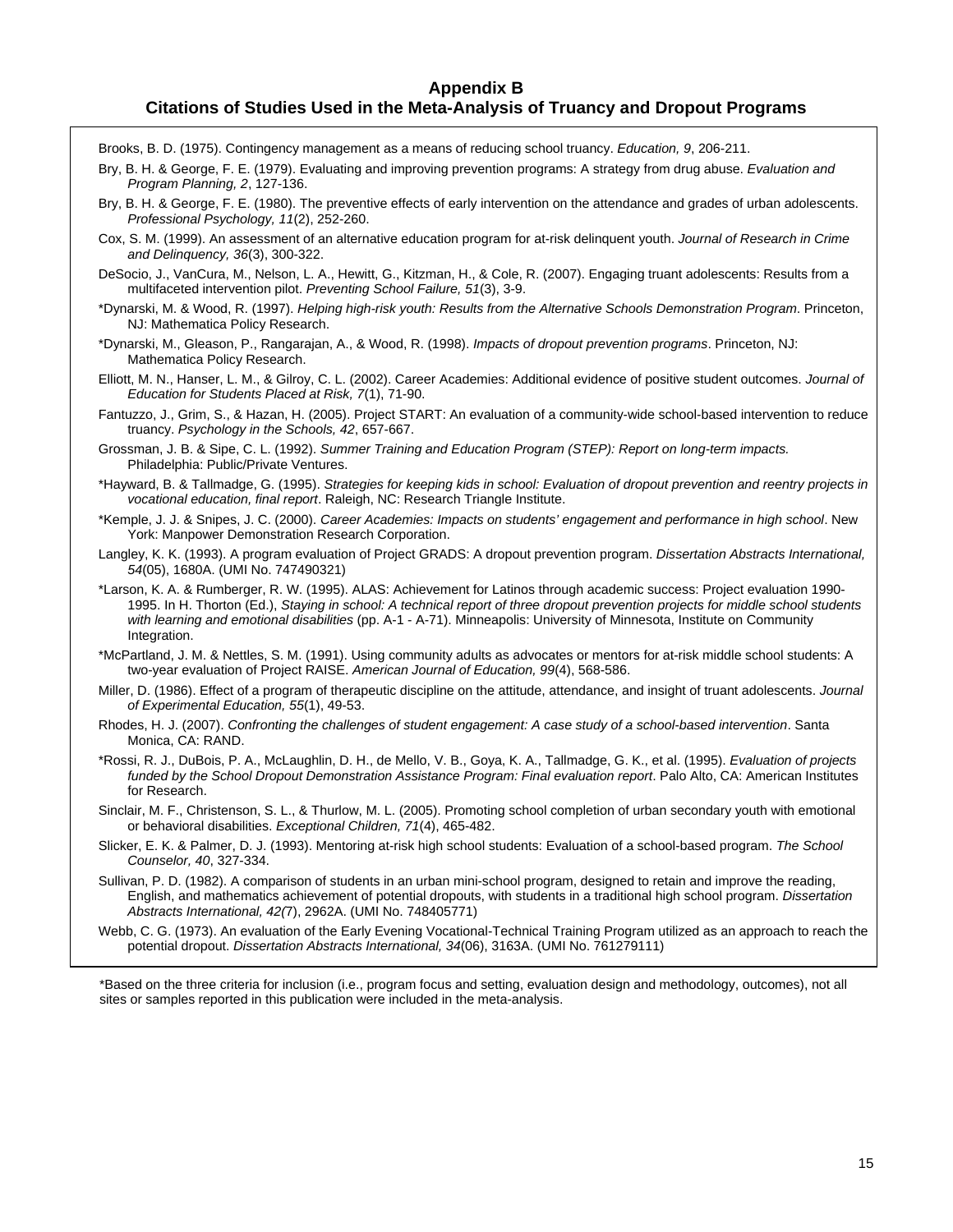#### **Appendix B Citations of Studies Used in the Meta-Analysis of Truancy and Dropout Programs**

Brooks, B. D. (1975). Contingency management as a means of reducing school truancy. *Education, 9*, 206-211.

Bry, B. H. & George, F. E. (1979). Evaluating and improving prevention programs: A strategy from drug abuse. *Evaluation and Program Planning, 2*, 127-136.

Bry, B. H. & George, F. E. (1980). The preventive effects of early intervention on the attendance and grades of urban adolescents. *Professional Psychology, 11*(2), 252-260.

- Cox, S. M. (1999). An assessment of an alternative education program for at-risk delinquent youth. *Journal of Research in Crime and Delinquency, 36*(3), 300-322.
- DeSocio, J., VanCura, M., Nelson, L. A., Hewitt, G., Kitzman, H., & Cole, R. (2007). Engaging truant adolescents: Results from a multifaceted intervention pilot. *Preventing School Failure, 51*(3), 3-9.
- \*Dynarski, M. & Wood, R. (1997). *Helping high-risk youth: Results from the Alternative Schools Demonstration Program*. Princeton, NJ: Mathematica Policy Research.
- \*Dynarski, M., Gleason, P., Rangarajan, A., & Wood, R. (1998). *Impacts of dropout prevention programs*. Princeton, NJ: Mathematica Policy Research.
- Elliott, M. N., Hanser, L. M., & Gilroy, C. L. (2002). Career Academies: Additional evidence of positive student outcomes. *Journal of Education for Students Placed at Risk, 7*(1), 71-90.
- Fantuzzo, J., Grim, S., & Hazan, H. (2005). Project START: An evaluation of a community-wide school-based intervention to reduce truancy. *Psychology in the Schools, 42*, 657-667.
- Grossman, J. B. & Sipe, C. L. (1992). *Summer Training and Education Program (STEP): Report on long-term impacts.* Philadelphia: Public/Private Ventures.
- \*Hayward, B. & Tallmadge, G. (1995). *Strategies for keeping kids in school: Evaluation of dropout prevention and reentry projects in vocational education, final report*. Raleigh, NC: Research Triangle Institute.
- \*Kemple, J. J. & Snipes, J. C. (2000). *Career Academies: Impacts on students' engagement and performance in high school*. New York: Manpower Demonstration Research Corporation.
- Langley, K. K. (1993). A program evaluation of Project GRADS: A dropout prevention program. *Dissertation Abstracts International, 54*(05), 1680A. (UMI No. 747490321)
- \*Larson, K. A. & Rumberger, R. W. (1995). ALAS: Achievement for Latinos through academic success: Project evaluation 1990- 1995. In H. Thorton (Ed.), *Staying in school: A technical report of three dropout prevention projects for middle school students with learning and emotional disabilities* (pp. A-1 - A-71). Minneapolis: University of Minnesota, Institute on Community Integration.

\*McPartland, J. M. & Nettles, S. M. (1991). Using community adults as advocates or mentors for at-risk middle school students: A two-year evaluation of Project RAISE. *American Journal of Education, 99*(4), 568-586.

- Miller, D. (1986). Effect of a program of therapeutic discipline on the attitude, attendance, and insight of truant adolescents. *Journal of Experimental Education, 55*(1), 49-53.
- Rhodes, H. J. (2007). *Confronting the challenges of student engagement: A case study of a school-based intervention*. Santa Monica, CA: RAND.
- \*Rossi, R. J., DuBois, P. A., McLaughlin, D. H., de Mello, V. B., Goya, K. A., Tallmadge, G. K., et al. (1995). *Evaluation of projects funded by the School Dropout Demonstration Assistance Program: Final evaluation report*. Palo Alto, CA: American Institutes for Research.

Sinclair, M. F., Christenson, S. L., & Thurlow, M. L. (2005). Promoting school completion of urban secondary youth with emotional or behavioral disabilities. *Exceptional Children, 71*(4), 465-482.

- Slicker, E. K. & Palmer, D. J. (1993). Mentoring at-risk high school students: Evaluation of a school-based program. *The School Counselor, 40*, 327-334.
- Sullivan, P. D. (1982). A comparison of students in an urban mini-school program, designed to retain and improve the reading, English, and mathematics achievement of potential dropouts, with students in a traditional high school program. *Dissertation Abstracts International, 42(*7), 2962A. (UMI No. 748405771)
- Webb, C. G. (1973). An evaluation of the Early Evening Vocational-Technical Training Program utilized as an approach to reach the potential dropout. *Dissertation Abstracts International, 34*(06), 3163A. (UMI No. 761279111)

\*Based on the three criteria for inclusion (i.e., program focus and setting, evaluation design and methodology, outcomes), not all sites or samples reported in this publication were included in the meta-analysis.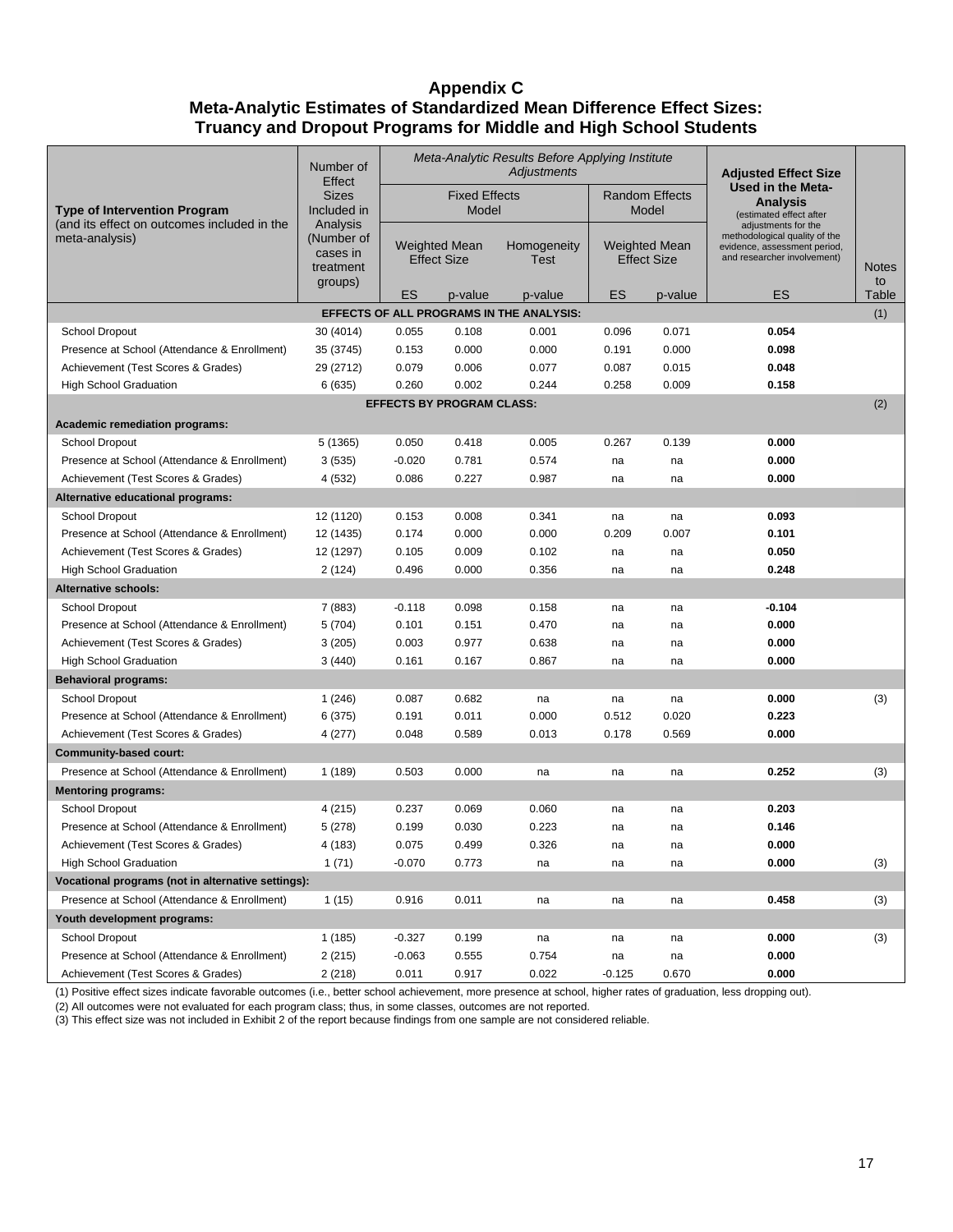# **Appendix C Meta-Analytic Estimates of Standardized Mean Difference Effect Sizes: Truancy and Dropout Programs for Middle and High School Students**

|                                                               | Number of<br>Effect                                                            | Meta-Analytic Results Before Applying Institute<br>Adjustments |         |                            |                                            |         | <b>Adjusted Effect Size</b>                                                                                         |                    |  |  |  |
|---------------------------------------------------------------|--------------------------------------------------------------------------------|----------------------------------------------------------------|---------|----------------------------|--------------------------------------------|---------|---------------------------------------------------------------------------------------------------------------------|--------------------|--|--|--|
| <b>Type of Intervention Program</b>                           | <b>Sizes</b><br>Included in<br>Analysis<br>(Number of<br>cases in<br>treatment | <b>Fixed Effects</b><br>Model                                  |         |                            | <b>Random Effects</b><br>Model             |         | Used in the Meta-<br><b>Analysis</b><br>(estimated effect after                                                     |                    |  |  |  |
| (and its effect on outcomes included in the<br>meta-analysis) |                                                                                | <b>Weighted Mean</b><br><b>Effect Size</b>                     |         | Homogeneity<br><b>Test</b> | <b>Weighted Mean</b><br><b>Effect Size</b> |         | adjustments for the<br>methodological quality of the<br>evidence, assessment period,<br>and researcher involvement) | <b>Notes</b><br>to |  |  |  |
|                                                               | groups)                                                                        | ES                                                             | p-value | p-value                    | ES                                         | p-value | ES                                                                                                                  | Table              |  |  |  |
| EFFECTS OF ALL PROGRAMS IN THE ANALYSIS:<br>(1)               |                                                                                |                                                                |         |                            |                                            |         |                                                                                                                     |                    |  |  |  |
| School Dropout                                                | 30 (4014)                                                                      | 0.055                                                          | 0.108   | 0.001                      | 0.096                                      | 0.071   | 0.054                                                                                                               |                    |  |  |  |
| Presence at School (Attendance & Enrollment)                  | 35 (3745)                                                                      | 0.153                                                          | 0.000   | 0.000                      | 0.191                                      | 0.000   | 0.098                                                                                                               |                    |  |  |  |
| Achievement (Test Scores & Grades)                            | 29 (2712)                                                                      | 0.079                                                          | 0.006   | 0.077                      | 0.087                                      | 0.015   | 0.048                                                                                                               |                    |  |  |  |
| <b>High School Graduation</b>                                 | 6(635)                                                                         | 0.260                                                          | 0.002   | 0.244                      | 0.258                                      | 0.009   | 0.158                                                                                                               |                    |  |  |  |
| <b>EFFECTS BY PROGRAM CLASS:</b><br>(2)                       |                                                                                |                                                                |         |                            |                                            |         |                                                                                                                     |                    |  |  |  |
| <b>Academic remediation programs:</b>                         |                                                                                |                                                                |         |                            |                                            |         |                                                                                                                     |                    |  |  |  |
| School Dropout                                                | 5 (1365)                                                                       | 0.050                                                          | 0.418   | 0.005                      | 0.267                                      | 0.139   | 0.000                                                                                                               |                    |  |  |  |
| Presence at School (Attendance & Enrollment)                  | 3(535)                                                                         | $-0.020$                                                       | 0.781   | 0.574                      | na                                         | na      | 0.000                                                                                                               |                    |  |  |  |
| Achievement (Test Scores & Grades)                            | 4 (532)                                                                        | 0.086                                                          | 0.227   | 0.987                      | na                                         | na      | 0.000                                                                                                               |                    |  |  |  |
| Alternative educational programs:                             |                                                                                |                                                                |         |                            |                                            |         |                                                                                                                     |                    |  |  |  |
| School Dropout                                                | 12 (1120)                                                                      | 0.153                                                          | 0.008   | 0.341                      | na                                         | na      | 0.093                                                                                                               |                    |  |  |  |
| Presence at School (Attendance & Enrollment)                  | 12 (1435)                                                                      | 0.174                                                          | 0.000   | 0.000                      | 0.209                                      | 0.007   | 0.101                                                                                                               |                    |  |  |  |
| Achievement (Test Scores & Grades)                            | 12 (1297)                                                                      | 0.105                                                          | 0.009   | 0.102                      | na                                         | na      | 0.050                                                                                                               |                    |  |  |  |
| <b>High School Graduation</b>                                 | 2(124)                                                                         | 0.496                                                          | 0.000   | 0.356                      | na                                         | na      | 0.248                                                                                                               |                    |  |  |  |
| Alternative schools:                                          |                                                                                |                                                                |         |                            |                                            |         |                                                                                                                     |                    |  |  |  |
| School Dropout                                                | 7 (883)                                                                        | $-0.118$                                                       | 0.098   | 0.158                      | na                                         | na      | $-0.104$                                                                                                            |                    |  |  |  |
| Presence at School (Attendance & Enrollment)                  | 5(704)                                                                         | 0.101                                                          | 0.151   | 0.470                      | na                                         | na      | 0.000                                                                                                               |                    |  |  |  |
| Achievement (Test Scores & Grades)                            | 3(205)                                                                         | 0.003                                                          | 0.977   | 0.638                      | na                                         | na      | 0.000                                                                                                               |                    |  |  |  |
| <b>High School Graduation</b>                                 | 3(440)                                                                         | 0.161                                                          | 0.167   | 0.867                      | na                                         | na      | 0.000                                                                                                               |                    |  |  |  |
| <b>Behavioral programs:</b>                                   |                                                                                |                                                                |         |                            |                                            |         |                                                                                                                     |                    |  |  |  |
| School Dropout                                                | 1(246)                                                                         | 0.087                                                          | 0.682   | na                         | na                                         | na      | 0.000                                                                                                               | (3)                |  |  |  |
| Presence at School (Attendance & Enrollment)                  | 6 (375)                                                                        | 0.191                                                          | 0.011   | 0.000                      | 0.512                                      | 0.020   | 0.223                                                                                                               |                    |  |  |  |
| Achievement (Test Scores & Grades)                            | 4 (277)                                                                        | 0.048                                                          | 0.589   | 0.013                      | 0.178                                      | 0.569   | 0.000                                                                                                               |                    |  |  |  |
| <b>Community-based court:</b>                                 |                                                                                |                                                                |         |                            |                                            |         |                                                                                                                     |                    |  |  |  |
| Presence at School (Attendance & Enrollment)                  | 1(189)                                                                         | 0.503                                                          | 0.000   | na                         | na                                         | na      | 0.252                                                                                                               | (3)                |  |  |  |
| <b>Mentoring programs:</b>                                    |                                                                                |                                                                |         |                            |                                            |         |                                                                                                                     |                    |  |  |  |
| School Dropout                                                | 4 (215)                                                                        | 0.237                                                          | 0.069   | 0.060                      | na                                         | na      | 0.203                                                                                                               |                    |  |  |  |
| Presence at School (Attendance & Enrollment)                  | 5(278)                                                                         | 0.199                                                          | 0.030   | 0.223                      | na                                         | na      | 0.146                                                                                                               |                    |  |  |  |
| Achievement (Test Scores & Grades)                            | 4 (183)                                                                        | 0.075                                                          | 0.499   | 0.326                      | na                                         | na      | 0.000                                                                                                               |                    |  |  |  |
| <b>High School Graduation</b>                                 | 1(71)                                                                          | $-0.070$                                                       | 0.773   | na                         | na                                         | na      | 0.000                                                                                                               | (3)                |  |  |  |
| Vocational programs (not in alternative settings):            |                                                                                |                                                                |         |                            |                                            |         |                                                                                                                     |                    |  |  |  |
| Presence at School (Attendance & Enrollment)                  | 1(15)                                                                          | 0.916                                                          | 0.011   | na                         | na                                         | na      | 0.458                                                                                                               | (3)                |  |  |  |
| Youth development programs:                                   |                                                                                |                                                                |         |                            |                                            |         |                                                                                                                     |                    |  |  |  |
| School Dropout                                                | 1 (185)                                                                        | $-0.327$                                                       | 0.199   | na                         | na                                         | na      | 0.000                                                                                                               | (3)                |  |  |  |
| Presence at School (Attendance & Enrollment)                  | 2(215)                                                                         | $-0.063$                                                       | 0.555   | 0.754                      | na                                         | na      | 0.000                                                                                                               |                    |  |  |  |
| Achievement (Test Scores & Grades)                            | 2(218)                                                                         | 0.011                                                          | 0.917   | 0.022                      | $-0.125$                                   | 0.670   | 0.000                                                                                                               |                    |  |  |  |

(1) Positive effect sizes indicate favorable outcomes (i.e., better school achievement, more presence at school, higher rates of graduation, less dropping out).

(2) All outcomes were not evaluated for each program class; thus, in some classes, outcomes are not reported.

(3) This effect size was not included in Exhibit 2 of the report because findings from one sample are not considered reliable.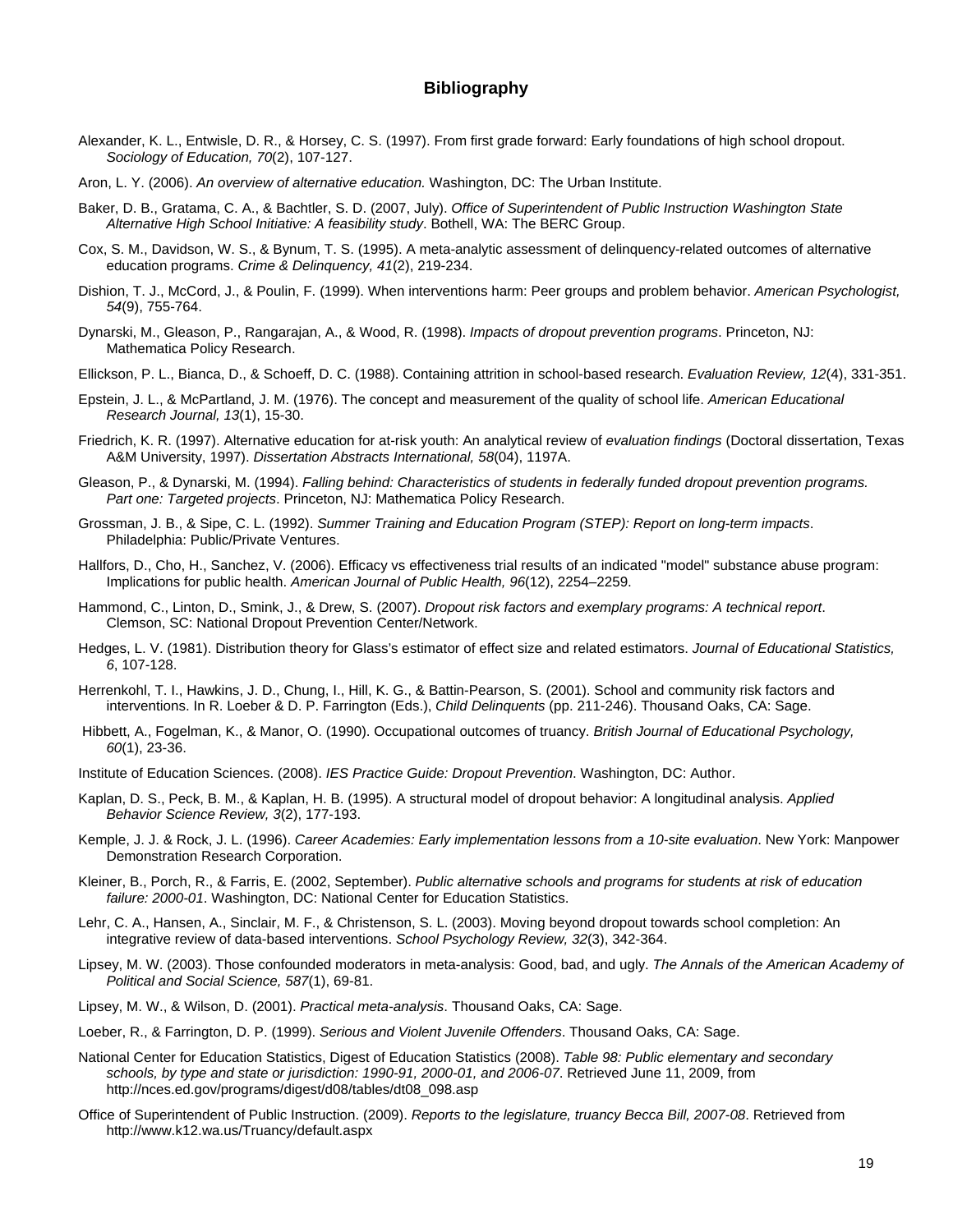#### **Bibliography**

- Alexander, K. L., Entwisle, D. R., & Horsey, C. S. (1997). From first grade forward: Early foundations of high school dropout. *Sociology of Education, 70*(2), 107-127.
- Aron, L. Y. (2006). *An overview of alternative education.* Washington, DC: The Urban Institute.
- Baker, D. B., Gratama, C. A., & Bachtler, S. D. (2007, July). *Office of Superintendent of Public Instruction Washington State Alternative High School Initiative: A feasibility study*. Bothell, WA: The BERC Group.
- Cox, S. M., Davidson, W. S., & Bynum, T. S. (1995). A meta-analytic assessment of delinquency-related outcomes of alternative education programs. *Crime & Delinquency, 41*(2), 219-234.
- Dishion, T. J., McCord, J., & Poulin, F. (1999). When interventions harm: Peer groups and problem behavior. *American Psychologist, 54*(9), 755-764.
- Dynarski, M., Gleason, P., Rangarajan, A., & Wood, R. (1998). *Impacts of dropout prevention programs*. Princeton, NJ: Mathematica Policy Research.
- Ellickson, P. L., Bianca, D., & Schoeff, D. C. (1988). Containing attrition in school-based research. *Evaluation Review, 12*(4), 331-351.
- Epstein, J. L., & McPartland, J. M. (1976). The concept and measurement of the quality of school life. *American Educational Research Journal, 13*(1), 15-30.
- Friedrich, K. R. (1997). Alternative education for at-risk youth: An analytical review of *evaluation findings* (Doctoral dissertation, Texas A&M University, 1997). *Dissertation Abstracts International, 58*(04), 1197A.
- Gleason, P., & Dynarski, M. (1994). *Falling behind: Characteristics of students in federally funded dropout prevention programs. Part one: Targeted projects*. Princeton, NJ: Mathematica Policy Research.
- Grossman, J. B., & Sipe, C. L. (1992). *Summer Training and Education Program (STEP): Report on long-term impacts*. Philadelphia: Public/Private Ventures.
- Hallfors, D., Cho, H., Sanchez, V. (2006). Efficacy vs effectiveness trial results of an indicated "model" substance abuse program: Implications for public health. *American Journal of Public Health, 96*(12), 2254–2259.
- Hammond, C., Linton, D., Smink, J., & Drew, S. (2007). *Dropout risk factors and exemplary programs: A technical report*. Clemson, SC: National Dropout Prevention Center/Network.
- Hedges, L. V. (1981). Distribution theory for Glass's estimator of effect size and related estimators. *Journal of Educational Statistics, 6*, 107-128.
- Herrenkohl, T. I., Hawkins, J. D., Chung, I., Hill, K. G., & Battin-Pearson, S. (2001). School and community risk factors and interventions. In R. Loeber & D. P. Farrington (Eds.), *Child Delinquents* (pp. 211-246). Thousand Oaks, CA: Sage.
- Hibbett, A., Fogelman, K., & Manor, O. (1990). Occupational outcomes of truancy. *British Journal of Educational Psychology, 60*(1), 23-36.
- Institute of Education Sciences. (2008). *IES Practice Guide: Dropout Prevention*. Washington, DC: Author.
- Kaplan, D. S., Peck, B. M., & Kaplan, H. B. (1995). A structural model of dropout behavior: A longitudinal analysis. *Applied Behavior Science Review, 3*(2), 177-193.
- Kemple, J. J. & Rock, J. L. (1996). *Career Academies: Early implementation lessons from a 10-site evaluation*. New York: Manpower Demonstration Research Corporation.
- Kleiner, B., Porch, R., & Farris, E. (2002, September). *Public alternative schools and programs for students at risk of education failure: 2000-01*. Washington, DC: National Center for Education Statistics.
- Lehr, C. A., Hansen, A., Sinclair, M. F., & Christenson, S. L. (2003). Moving beyond dropout towards school completion: An integrative review of data-based interventions. *School Psychology Review, 32*(3), 342-364.
- Lipsey, M. W. (2003). Those confounded moderators in meta-analysis: Good, bad, and ugly. *The Annals of the American Academy of Political and Social Science, 587*(1), 69-81.
- Lipsey, M. W., & Wilson, D. (2001). *Practical meta-analysis*. Thousand Oaks, CA: Sage.
- Loeber, R., & Farrington, D. P. (1999). *Serious and Violent Juvenile Offenders*. Thousand Oaks, CA: Sage.
- National Center for Education Statistics, Digest of Education Statistics (2008). *Table 98: Public elementary and secondary schools, by type and state or jurisdiction: 1990-91, 2000-01, and 2006-07*. Retrieved June 11, 2009, from http://nces.ed.gov/programs/digest/d08/tables/dt08\_098.asp
- Office of Superintendent of Public Instruction. (2009). *Reports to the legislature, truancy Becca Bill, 2007-08*. Retrieved from http://www.k12.wa.us/Truancy/default.aspx